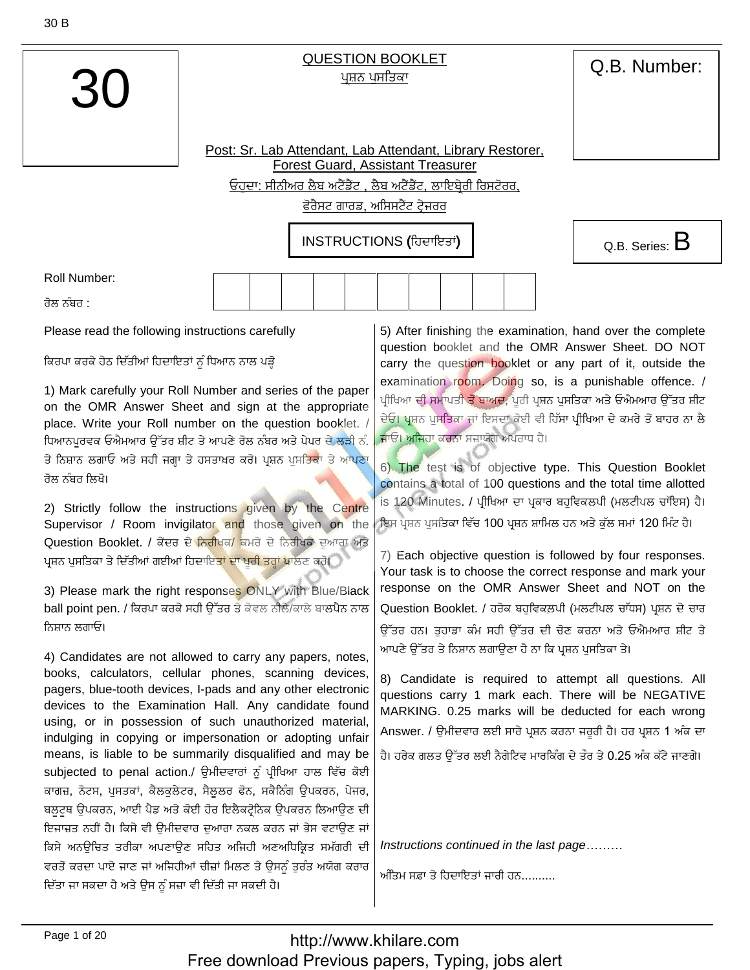

## **QUESTION BOOKLET** ਪਸ਼ਨ ਪਸਤਿਕਾ

Q.B. Number:

Post: Sr. Lab Attendant, Lab Attendant, Library Restorer, Forest Guard, Assistant Treasurer <u>ਓਹਦਾ: ਸੀਨੀਅਰ ਲੈਬ ਅਟੈਂਡੈਂਟ , ਲੈਬ ਅਟੈਂਡੈਂਟ, ਲਾਇਬ੍ਰੇਰੀ ਰਿਸਟੋਰਰ,</u> <u>ਫੋਰੈਸਟ ਗਾਰਡ, ਅਸਿਸਟੈਂਟ ਟੇਜਰਰ</u>

INSTRUCTIONS (ਹਿਦਾਇਤਾਂ)



Roll Number:

ਰੋਲ ਨੰਬਰ :

Please read the following instructions carefully

ਕਿਰਪਾ ਕਰਕੇ ਹੇਠ ਦਿੱਤੀਆਂ ਹਿਦਾਇਤਾਂ ਨੂੰ ਧਿਆਨ ਨਾਲ ਪੜ੍ਹੋ

1) Mark carefully your Roll Number and series of the paper on the OMR Answer Sheet and sign at the appropriate place. Write your Roll number on the question booklet. / ਧਿਆਨਪਰਵਕ ਓਐਮਆਰ ਉੱਤਰ ਸ਼ੀਟ ਤੇ ਆਪਣੇ ਰੋਲ ਨੰਬਰ ਅਤੇ ਪੇਪਰ ਦੇ ਲੜੀ ਨੰ. ਤੇ ਨਿਸ਼ਾਨ ਲਗਾਓ ਅਤੇ ਸਹੀ ਜਗਾ ਤੇ ਹਸਤਾਖ਼ਰ ਕਰੋ। ਪੁਸ਼ਨ ਪੁਸਤਿਕਾ ਤੇ ਆ<mark>ਪਣਾ</mark> ਰੋਲ ਨੰਬਰ ਲਿਖੋ।

2) Strictly follow the instructions given by the Centre Supervisor / Room invigilator and those given on the Question Booklet. / ਕੇਂਦਰ ਦੇ ਨਿਰੀਖਕ/ ਕਮਰੇ ਦੇ ਨਿਰੀਖਕ ਦੁਆਰਾ ਅਤੇ ਪ੍ਰਸ਼ਨ ਪੁਸਤਿਕਾ ਤੇ ਦਿੱਤੀਆਂ ਗਈਆਂ ਹਿਦਾਇ<mark>ਤਾਂ ਦਾ ਪੂਰੀ ਤਰ੍ਹਾਂ ਪਾ</mark>ਲਣ ਕਰੋ।

3) Please mark the right responses ONLY with Blue/Black ball point pen. / ਕਿਰਪਾ ਕਰਕੇ ਸਹੀ ਉੱਤਰ ਤੇ ਕੇਵਲ ਨੀਲੈ/ਕਾਲੇ ਬਾਲਪੈਨ ਨਾਲ ਨਿਸ਼ਾਨ ਲਗਾਓ।

4) Candidates are not allowed to carry any papers, notes, books, calculators, cellular phones, scanning devices, pagers, blue-tooth devices, I-pads and any other electronic devices to the Examination Hall. Any candidate found using, or in possession of such unauthorized material, indulging in copying or impersonation or adopting unfair means, is liable to be summarily disqualified and may be subjected to penal action./ ਉਮੀਦਵਾਰਾਂ ਨੂੰ ਪ੍ਰੀਖਿਆ ਹਾਲ ਵਿੱਚ ਕੋਈ ਕਾਗਜ਼, ਨੋਟਸ, ਪੁਸਤਕਾਂ, ਕੈਲਕੁਲੇਟਰ, ਸੈਲੂਲਰ ਫੋਨ, ਸਕੈਨਿੰਗ ਉਪਕਰਨ, ਪੇਜਰ, ਬਲਟਥ ੳਪਕਰਨ, ਆਈ ਪੈਡ ਅਤੇ ਕੋਈ ਹੋਰ ਇਲੈਕਟੋਨਿਕ ੳਪਕਰਨ ਲਿਆੳਣ ਦੀ ਇਜਾਜ਼ਤ ਨਹੀਂ ਹੈ। ਕਿਸੇ ਵੀ ਉਮੀਦਵਾਰ ਦੁਆਰਾ ਨਕਲ ਕਰਨ ਜਾਂ ਭੇਸ ਵਟਾਉਣ ਜਾਂ ਕਿਸੇ ਅਨਊਚਿਤ ਤਰੀਕਾ ਅਪਣਾਉਣ ਸਹਿਤ ਅਜਿਹੀ ਅਣਅਧਿਕ੍ਰਿਤ ਸਮੱਗਰੀ ਦੀ ਵਰਤੋਂ ਕਰਦਾ ਪਾਏ ਜਾਣ ਜਾਂ ਅਜਿਹੀਆਂ ਚੀਜ਼ਾਂ ਮਿਲਣ ਤੇ ਉਸਨੂੰ ਤੁਰੰਤ ਅਯੋਗ ਕਰਾਰ ਦਿੱਤਾ ਜਾ ਸਕਦਾ ਹੈ ਅਤੇ ਉਸ ਨੂੰ ਸਜ਼ਾ ਵੀ ਦਿੱਤੀ ਜਾ ਸਕਦੀ ਹੈ।

5) After finishing the examination, hand over the complete question booklet and the OMR Answer Sheet. DO NOT carry the question booklet or any part of it, outside the examination room. Doing so, is a punishable offence. / ਪੀਖਿਆ ਦੀ ਸਮਾਪਤ<mark>ੀ ਤੋਂ ਬਾਅਦ</mark>, ਪਰੀ ਪਸ਼ਨ ਪਸਤਿਕਾ ਅਤੇ ਓਐਮਆਰ ਉੱਤਰ ਸ਼ੀਟ ਦੇਓ। ਪ੍ਰਸ਼ਨ ਪਸਤਿਕਾ ਜਾਂ ਇਸਦਾ ਕੋਈ ਵੀ ਹਿੱਸਾ ਪੀਖਿਆ ਦੇ ਕਮਰੇ ਤੋਂ ਬਾਹਰ ਨਾ ਲੈ ਜਾਓ। ਅਜਿਹਾ ਕਰਨਾ ਸਜ਼ਾਯੋਗ ਅਪਰਾਧ ਹੈ।

6) The test is of objective type. This Question Booklet contains a total of 100 questions and the total time allotted is 120 Minutes. / ਪ੍ਰੀਖਿਆ ਦਾ ਪ੍ਰਕਾਰ ਬਹੁਵਿਕਲਪੀ (ਮਲਟੀਪਲ ਚਾੱਇਸ) ਹੈ। ਇਸ ਪ੍ਰਸ਼ਨ ਪਸਤਿਕਾ ਵਿੱਚ 100 ਪ੍ਰਸ਼ਨ ਸ਼ਾਮਿਲ ਹਨ ਅਤੇ ਕੱਲ ਸਮਾਂ 120 ਮਿੰਟ ਹੈ।

7) Each objective question is followed by four responses. Your task is to choose the correct response and mark your response on the OMR Answer Sheet and NOT on the Question Booklet. / ਹਰੇਕ ਬਹਵਿਕਲਪੀ (ਮਲਟੀਪਲ ਚਾੱਧਸ) ਪਸ਼ਨ ਦੇ ਚਾਰ ਉੱਤਰ ਹਨ। ਤਹਾਡਾ ਕੰਮ ਸਹੀ ਉੱਤਰ ਦੀ ਚੋਣ ਕਰਨਾ ਅਤੇ ਓਐਮਆਰ ਸ਼ੀਟ ਤੇ ਆਪਣੇ ਉੱਤਰ ਤੇ ਨਿਸ਼ਾਨ ਲਗਾਉਣਾ ਹੈ ਨਾ ਕਿ ਪੁਸ਼ਨ ਪੁਸਤਿਕਾ ਤੇ।

8) Candidate is required to attempt all questions. All questions carry 1 mark each. There will be NEGATIVE MARKING. 0.25 marks will be deducted for each wrong Answer. / ਉਮੀਦਵਾਰ ਲਈ ਸਾਰੇ ਪ੍ਰਸ਼ਨ ਕਰਨਾ ਜਰੂਰੀ ਹੈ। ਹਰ ਪ੍ਰਸ਼ਨ 1 ਅੰਕ ਦਾ ਹੈ। ਹਰੇਕ ਗਲਤ ਉੱਤਰ ਲਈ ਨੈਗੇਟਿਵ ਮਾਰਕਿੰਗ ਦੇ ਤੌਰ ਤੇ 0.25 ਅੰਕ ਕੱਟੇ ਜਾਣਗੇ।

Instructions continued in the last page.........

ਅੰਤਿਮ ਸਫ਼ਾ ਤੇ ਹਿਦਾਇਤਾਂ ਜਾਰੀ ਹਨ..........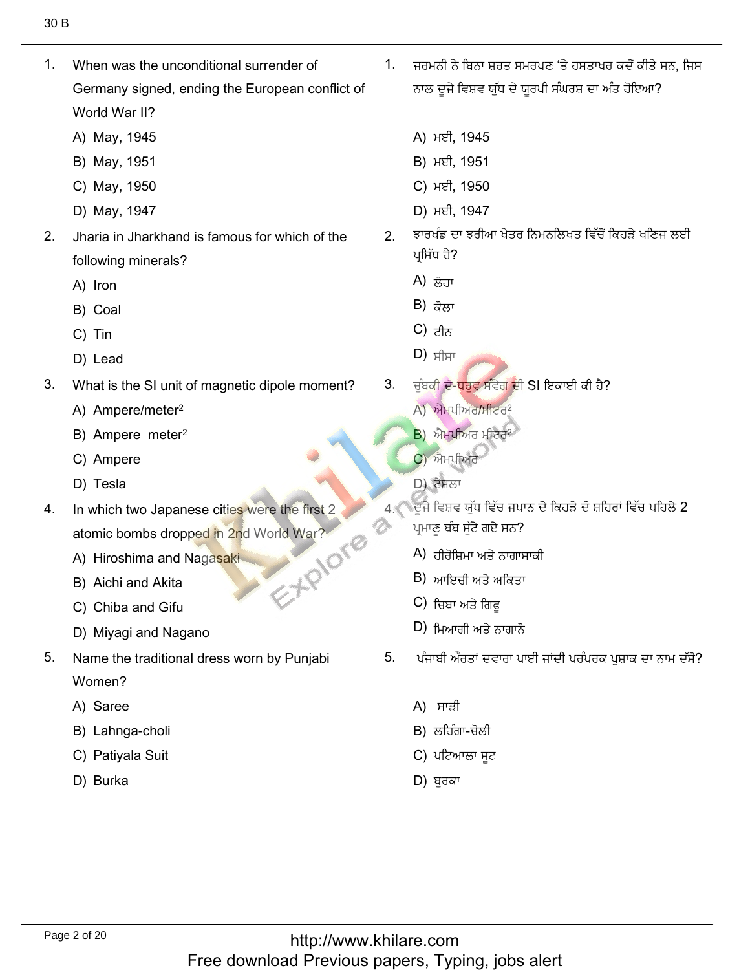1. When was the unconditional surrender of Germany signed, ending the European conflict of World War II?

1. When was the unconditional surrender of

- World War II?<br>A) May, 1945<br>B) Mav. 1951
- 
- B) May, 1951<br>C) Mav. 1950 C) May, 1950<br>D) Mav. 1947
- D) May, 1947
- $2.$ Jharia in Jharkhand is famous for which of the following mir<br>A) Iron
	- A) Iron<br>B) Coal
	- B) Coal<br>C) Tin
	- C) Tin
- C) Tin<br>D) Lead
- 3. What is the SI unit of ma<br>A) Ampere/meter<sup>2</sup>
	- A) Ampere/meter<sup>2</sup><br>B) Ampere meter<sup>2</sup>
	- B) Ampere met<br>C) Ampere
	- C) Ampei<br>D) Tesla
	- D) Tesla
- In which two Japanese cities were the first 2 4. EXPIONE atomic bombs dropped in 2nd Wo<br>A) Hiroshima and Nagasaki
	- A) Hiroshima and Naga<br>B) Aichi and Akita
	- B) Aichi and Akita<br>C) Chiba and Gifu
	- C) Chiba and Gifu
- C) Chiba and Gifu<br>D) Miyagi and Nagano
- 5. Name the traditional dress worn by Punjabi Women?
	- Women?<br>A) Saree
	- A) Saree<br>B) Lahnga-choli<br>C) Pativala Suit
	- C) Patiyal<br>D) Burka
	-

 $1.$ ਜਰਮਨੀ ਨੇ ਬਿਨਾ ਸ਼ਰਤ ਸਮਰਪਣ 'ਤੇ ਹਸਤਾਖਰ ਕਦੋਂ ਕੀਤੇ ਸਨ, ਜਿਸ ਨਾਲ ਦੂਜੇ ਵਿਸ਼ਵ ਯੁੱਧ ਦੇ ਯੂਰਪੀ ਸੰਘਰਸ਼ ਦਾ ਅੰਤ ਹੋਇਆ?

ُطِيعَ ,كُذِيرْتُ بِنُ يَسْتَخْفُسُ 1.2 مِنْ يَسْتَخْفُس 1.2 مِنْ يَسْتَخْفُس 1.2 مِنْ يَسْتَخْفُسْ 1.2 مِنْ ي

- A) ਮਈ, 1945<br>B) ਮਈ, 1951
- B) ਮਈ, 1951<br>C) ਮਈ. 1950
- 
- C) ਮਈ, 1950<br>D) ਮਈ. 1947 D) ਮਈ, 1947
- ਝਾਰਖੰਡ ਦਾ ਝਰੀਆ ਖੇਤਰ ਨਿਮਨਲਿਖਤ ਵਿੱਚੋਂ ਕਿਹੜੇ ਖਣਿਜ ਲਈ  $2<sup>1</sup>$ ਪ੍ਰਸਿੱਧ ਹੈ?<br>A) <del>ਲੋ</del>ਜਾ
	- A) ਲੋਹਾ<br>B) <del>ਡੋ</del>ਲਾ
	- B) ਕੋਲਾ<br>C) <del>ਮੈਨ</del>
	- C) ਟੀਨ
- $D)$   $\overline{H}$  $\overline{\mathbf{D}}$ ,  $\overline{\mathbf{H}}$ 
	- 3. ਚੰਬਕੀ ਦੋ-ਧਰਵ ਸੰਵੇਗ ਦੀ SI ਇਕਾਈ ਕੀ ਹੈ?
		- ਚੁੰਬਕੀ **ਦੋ-<mark>ਧਰ</mark>ੁਵ ਸੰ**ਵੇਗ<br>A) ਐਮਪੀਅਰ/ਮੀਟਰ<sup>2</sup>
		- A) ਐਮਪੀਅਰ/ਮ<br>B) ਐਮਪੀਅਰ ਮ
		- B) ਐਮਪੀਅਰ ਮੀ<br>C) ਐਮਪੀਅਰ<br>D) ਟੇਸਲਾ
		- ם) ਟੇਸਲਾ

Ð

- ।<br><u>ਪ</u>ੁੱਜੇ ਵਿਸ਼ਵ ਯੁੱਧ ਵਿੱਚ ਜਪਾ ਪ੍ਰਮਾਣੂ ਬੰਬ ਸੁੱਟੇ ਗਏ ਸਨ?<br>A) ਤੀਕੋਸਿਪਾ ਅਤੇ ਨਾਗਾਸਾਕੀ
	- A) ਹੀਰੋਸ਼ਿਮਾ ਅਤੇ ਨਾਗਾਸ<br>B) ਆਇਜ਼ੀ ਅਤੇ ਅਕਿਤਾ
	- B) ਆਇਚੀ ਅਤੇ ਅ<br>C) ਜ਼ਿਸ਼ਾ ਅਤੇ ਗਿਟ
	- C) ਚਿਬਾ ਅਤੇ ਗਿਫੂ<br>D) ਖਿਆਗੀ ਅਤੇ ਨਾਗਾਨੋ
	- $D$ ) ਮਿਆਰੀ ਅਤੇ ਨਾਗਾਨੋ
- $5<sub>1</sub>$ ਪੰਜਾਬੀ ਔਰਤਾਂ ਦਵਾਰਾ ਪਾਈ ਜਾਂਦੀ ਪਰੰਪਰਕ ਪੁਸ਼ਾਕ ਦਾ ਨਾਮ ਦੱਸੋ?
	- A) ਸਾੜੀ
	-
	- ਪਟਿਆ A) ਸਾੜੀ<br>B) ਲਹਿੰਗਾ-ਚੋਲੀ<br>C) ਪਟਿਆਲਾ ਸੂਟ<br>D) ਬਰਕਾ
	-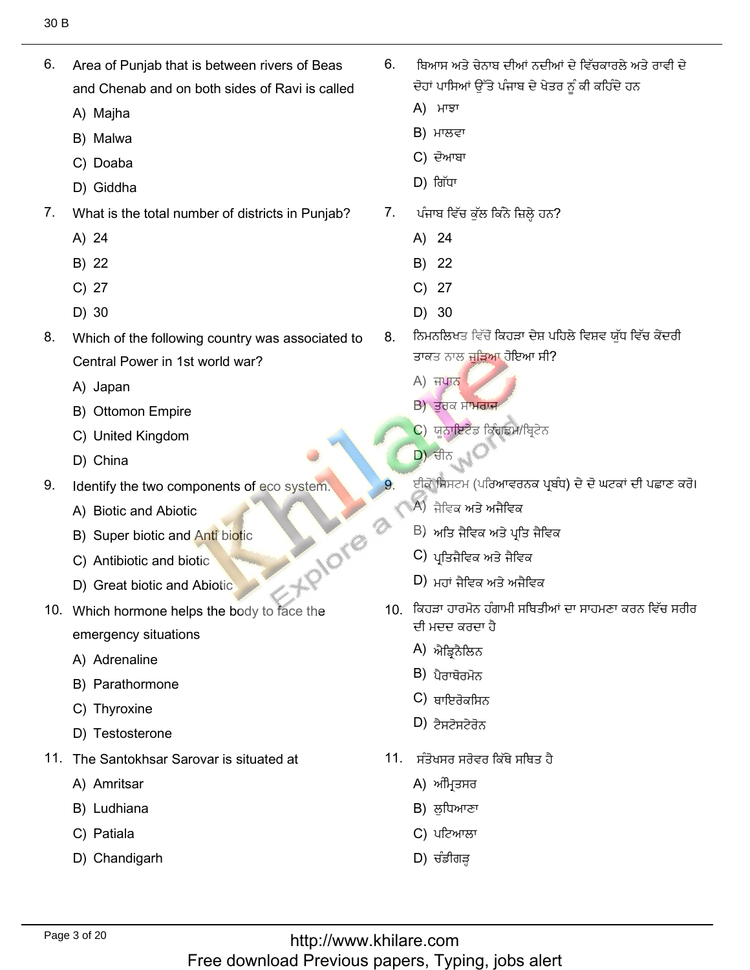- Area of Punjab that is between rivers of Beas 6. and Chenab and on both sides of Ravi is called
	- A) Majha
	- B) Malwa
	- C) Doaba
	- D) Giddha
- $7<sub>1</sub>$ What is the total number of districts in Punjab?
	- A) 24
	- B) 22
	- $C)$  27
	- D) 30
- 8. Which of the following country was associated to Central Power in 1st world war?
	- A) Japan
	- B) Ottomon Empire
	- C) United Kingdom
	- D) China
- 9. Identify the two components of eco system.
	- A) Biotic and Abiotic
	- B) Super biotic and Anti biotic
	- C) Antibiotic and biotic
	- D) Great biotic and Abiotic
- +PIOT® 10. Which hormone helps the body to face the emergency situations
	- A) Adrenaline
	- B) Parathormone
	- C) Thyroxine
	- D) Testosterone
- 11. The Santokhsar Sarovar is situated at
	- A) Amritsar
	- B) Ludhiana
	- C) Patiala
	- D) Chandigarh
- ਬਿਆਸ ਅਤੇ ਚੇਨਾਬ ਦੀਆਂ ਨਦੀਆਂ ਦੇ ਵਿੱਚਕਾਰਲੇ ਅਤੇ ਰਾਵੀ ਦੇ  $6<sub>1</sub>$ ਦੋਹਾਂ ਪਾਸਿਆਂ ਉੱਤੇ ਪੰਜਾਬ ਦੇ ਖੇਤਰ ਨੂੰ ਕੀ ਕਹਿੰਦੇ ਹਨ
	- A) ਮਾਝਾ
	- $B$ ) ਮਾਲਵਾ
	- C) ਦੋਆਬਾ
	- $D)$  ਗਿੱਧਾ
- 7. ਪੰਜਾਬ ਵਿੱਚ ਕੁੱਲ ਕਿੰਨੇ ਜ਼ਿਲ੍ਹੇ ਹਨ?
	- A) 24
	- B) 22
	- $C)$  27
	- $D)$  30
- ਨਿਮਨਲਿਖਤ ਵਿੱਚੋਂ ਕਿਹੜਾ ਦੇਸ਼ ਪਹਿਲੇ ਵਿਸ਼ਵ ਯੱਧ ਵਿੱਚ ਕੇਂਦਰੀ 8. ਤਾਕਤ ਨਾਲ ਜੁੜਿਆ ਹੋਇਆ ਸੀ?
	- **A) ਜਪਾਨ**
	- B) ਤਰਕ ਸਾਮਰਾਜ
	- C) ਯੂਨਾਇਟੇਡ ਕਿੰਗਡਮ/ਬ੍ਰਿਟੇਨ
	- <u>D) ਚੀਨ</u>
	- ਈਕੋ ਸਿਸਟਮ (ਪਰਿਆਵਰਨਕ ਪ੍ਰਬੰਧ) ਦੇ ਦੋ ਘਟਕਾਂ ਦੀ ਪਛਾਣ ਕਰੋ।
	- A) ਜੈਵਿਕ ਅਤੇ ਅਜੈਵਿਕ
	- $\vert$ B) ਅਤਿ ਜੈਵਿਕ ਅਤੇ ਪਤਿ ਜੈਵਿਕ
	- C) ਪਤਿਜੈਵਿਕ ਅਤੇ ਜੈਵਿਕ
	- $D$ ) ਮੂਹਾਂ ਜੈਟਿਕ ਅਤੇ ਅਜੈਟਿਕ
- 10 ਕਿਹੜਾ ਹਾਰਮੋਨ ਹੰਗਾਮੀ ਸਥਿਤੀਆਂ ਦਾ ਸਾਹਮਣਾ ਕਰਨ ਵਿੱਚ ਸਰੀਰ ਦੀ ਮਦਦ ਕਰਦਾ ਹੈ
	- A) ਐਡਿਨੈਲਿਨ
	- $B$ ) ਪੈਰਾਥੋਰਮੋਨ
	- $C$ ) ਬਾਇਰੋਕਸਿਨ
	- $D$ ) ਟੈਸਟੋਸਟੇਰੋਨ
- 11. ਸੰਤੋਖਸਰ ਸਰੋਵਰ ਕਿੱਥੇ ਸਥਿਤ ਹੈ
	- A) ਅੰਮ੍ਰਿਤਸਰ
	- B) ਲੁਧਿਆਣਾ
	- C) ਪਟਿਆਲਾ
	- $D$ ) ਚੰਡੀਗੜ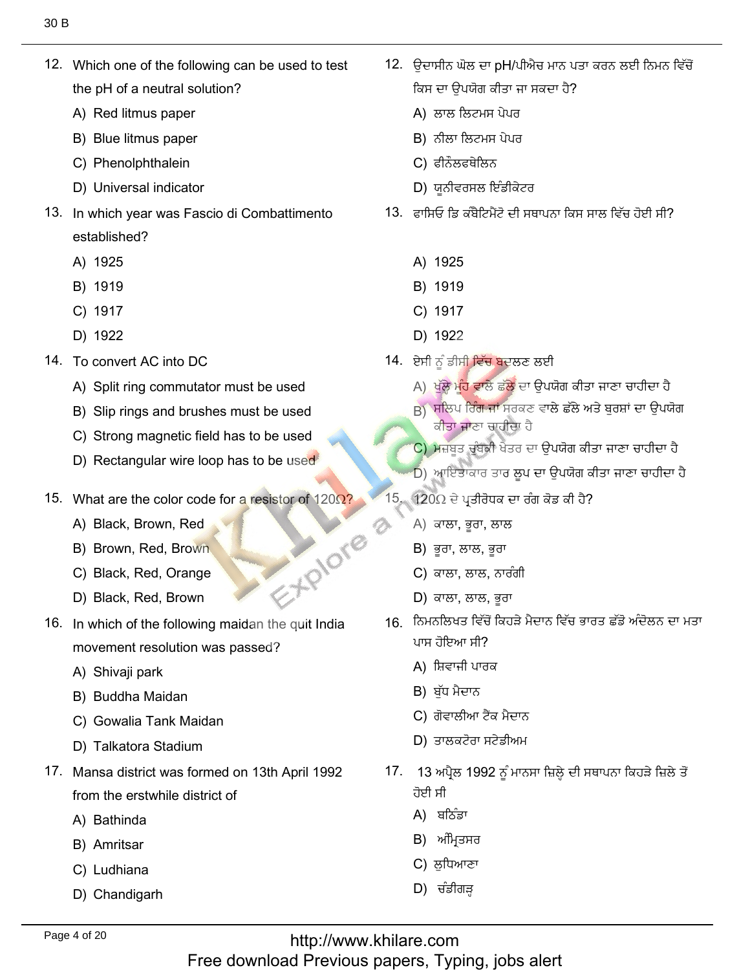12. Which one of the following can be used to test the pH of a neutral solutio<br>A) Red litmus paper

12. Which one of the following can be used to test

- A) Red litmus paper<br>B) Blue litmus paper
- B) Blue litmus paper<br>C) Phenolphthalein
- C) Phenolphthalein
- C) Phenolphthalein<br>D) Universal indicator
- 13. In which year was Fascio di Combattimento established?<br>A) 1925
	- A) 1925<br>B) 1919
	- B) 1919<br>C) 1917
	- C) 1917<br>D) 1922
	- D) 1922
- 14. To convert AC into DC
	- To convert AC into DC<br>A) Split ring commutator must be used<br>B) Slip rings and brushes must be used
	- B) Slip rings and brushes must be used<br>C) Strong magnetic field has to be used
	- C) Strong magnetic field has to be used<br>D) Rectangular wire loop has to be used
- 15. What are the color code for a resistor of 120Ω?
- What are the color cod<br>A) Black, Brown, Red
	- A) Black, Brown, Red
	- A) Black, Brown, Red<br>
	B) Brown, Red, Brown<br>
	C) Black, Red, Orange 16. In which of the following maid and the following maid the following maid the following maid the following maid the following maid the following maid the following maid the following maid the following maid the followin
	- C) Black, Red, Orange<br>D) Black. Red. Brown
	-
- 16. In which of the following maidan the quit India movement resolutior<br>A) Shivaii park
	- A) Shivaji park
	- A) Shivaji park<br>B) Buddha Maidan
	- B) Buddha Maidan<br>C) Gowalia Tank Maidan<br>D) Talkatora Stadium
	- D) Talkatora Stadium
- 17. Mansa district was formed on 13th April 1992 from the erstwhile<br>A) Bathinda
	- A) Bathinda<br>B) Amritsar
	- B) Amritsar
	- B) Amritsar<br>C) Ludhiana
	- D) Chandigarh

<mark>'</mark>. ਉਦਾਸੀਨ ਘੋਲ ਦਾ pH/ਪੀਐਚ ਮਾਨ ਪਰ ਕਿਸ ਦਾ ਉਪਯੋਗ ਕੀਤਾ ਜਾ ਸਕਦਾ ਹੈ?

صِّحْبَلْكَ بِكَيْتُ بِكَيْتُ بِكَيْتُ بِكَيْتُ بِكَيْتُ بِكَيْتُ بِكَيْتُ بِكَيْتُ بِكَيْتُ بِكَيْتُ بِكَيْتَ

- ਕਿਸ ਦਾ ਉਪਯੋਗ ਕੀਤਾ ਜ<br>A) ਲਾਲ ਲਿਟਮਸ ਪੇਪਰ
- A) ਲਾਲ ਲਿਟਮਸ<br>B) ਨੀਲਾ ਲਿਟਮਸ B) ਨੀਲਾ ਲਿਟਮਸ ਪੇਪਰ<br>C) ਫੀਨੌਲਫਥੇਲਿਨ
- 
- C) ਫੀਨੌਲਫਥੇਲਿਨ<br>D) ਯੂਨੀਵਰਸਲ ਇੰਡੀਕੇਟਰ
	- 13. ਫ਼ਾਸਿਓ ਡਿ ਕੰਬੈਟਿਮੈਂਟੋ ਦੀ ਸਥਾਪਨਾ ਕਿਸ ਸਾਲ ਵਿੱਚ ਹੋਈ ਸੀ?
		- <sup>1925</sup> B) <sup>1919</sup>
		- B) 1919<br>C) 1917
		- C) 1917<br>D) 1922
		-
	-
- D) 1922<br>14. ਏਸੀ ਨੂੰ ਡੀਸ<mark>ੀ ਵਿੱਚ ਬ</mark>ਦਲਣ ਲਈ<br>A) ਖੱਲੇ ਮੰਹ ਵਾਲੇ ਛੱਲੇ ਦਾ ਉਪਯੋਗ ਕੀਤਾ ਜਾਣਾ ਚਾਹੀਦਾ ਹੈ A) ਖੱਲ੍ਹੇ ਮੰਹ ਵਾਲੇ ਛੱਲੇ ਦਾ ਉਪਯੋਗ ਕੀਤਾ ਜਾਣਾ ਚਾਹੀਦਾ ਹੈ
	- A) ਖੁੱਲ੍ਹੇ ਮੂੰਹ ਵਾਲੇ ਛੱਲੇ ਦਾ<br>B) ਸਲਿਪ ਰਿੰਗ ਜਾਂ ਸਰਕਣ ਕੀਤਾ **ਜਾ**ਣਾ ਚਾਹੀਦਾ ਹੈ ੂੰ ਕੀਤਾ ਜਾਣਾ ਚਾਹੀਦਾ ਹੈ<br>C) ਮਜ਼ਬਤ ਚੰਬਕੀ ਖੇਤਰ ਦਾ ਉਪਯੋਗ ਕੀਤਾ ਜਾਣਾ ਚਾਹੀਦਾ ਹੈ
	-
- $\begin{pmatrix} 0 \\ 0 \end{pmatrix}$  ਮਜ਼ਬੂਤ ਚੁੰਬਕੀ ਖੇਤਰ ਦਾ ਉਪਯੋਗ ਕੀਤ<br>D) ਆਇਤਾਕਾਰ ਤਾਰ ਲੂਪ ਦਾ ਉਪਯੋਗ ਕੀਤੀ<br>15. 120Ω ਦੇ ਪਤੀਰੋਧਕ ਦਾ ਰੰਗ ਕੋਡ ਕੀ ਹੈ?
	- 120Ω ਦੇ ਪ੍ਰਤੀਰੋਧਕ ਚ<br>A) ਕਾਲਾ. ਭਰਾ. ਲਾਲ
		- A) ਕਾਲਾ, ਭੂਰਾ, ਲਾ≀<br>B) ਭਰਾ. ਲਾਲ. ਭਰਾ
		- B) ਭੂਰਾ, ਲਾਲ, ਭੂਰਾ<br>C) ਕਾਲਾ. ਲਾਲ. ਨਾਰੰਗੀ
		- C) ਕਾਲਾ, ਲਾਲ, ਨਾਰੰ<br>D) ਕਾਲਾ. ਲਾਲ. ਭਰਾ
		- D) ਕਾਲਾ, ਲਾਲ, ਭਰਾ
	- 16. ਨਿਮਨਲਿਖਤ ਵਿੱਚੋਂ ਕਿਹੜੇ ਮੈਦਾਨ ਵਿੱਚ ਭਾਰਤ ਛੱਡੋ ਅੰਦੋਲਨ ਦਾ ਮਤਾ ਪਾਸ ਹੋਇਆ ਸੀ?
		- ਪਾਸ ਹੋਇਆ ਸੀ?<br>A) ਸ਼ਿਵਾਜੀ ਪਾਰ<br>B) ਬੱਧ ਮੈਦਾਨ
		- B) ਬੱਧ ਮੈਦਾਨ
		- B) ਬੁੱਧ ਮੈਦਾਨ<br>C) ਗੋਵਾਲੀਆ ਟੈਂਕ ਮੈਦਾਨ
- C) ਗੋਵਾਲੀਆ ਟੈਂਕ ਮੈਦਾਨ<br>D) ਤਾਲਕਟੋਰਾ ਸਟੇਡੀਅਮ
	- $\frac{1}{3}$  ਅ ਹੋਈ ਸੀ ਹੋਈ ਸੀ<br>A) ਬਠਿੰਡਾ
		-
		- A) ਬਠਿੰਡਾ<br>B) ਅੰਮਿਤਸਰ
		- C) ਲਧਿਆਣਾ B) ਅੰਮ੍ਰਿਤਸਰ<br>C) ਲੁਧਿਆਣਾ<br>D) ਚੰਡੀਗੜ
		-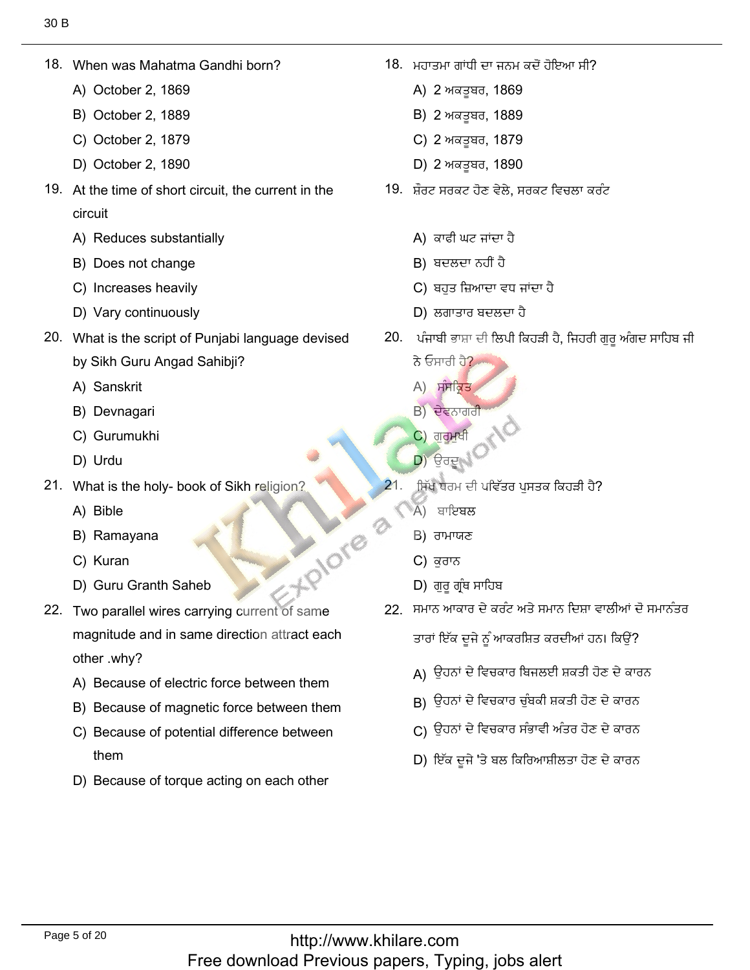When was Mahatma Gar<br>A) October 2, 1869

18. When was Mahatma Gandhi born?

- A) October 2, 1869
- A) October 2, 1869<br>B) October 2, 1889<br>C) October 2, 1879
- C) October 2, 1879<br>D) October 2. 1890
- D) October 2, 1890
- 19. At the time of short circuit, the current in the circuit circuit<br>A) Reduces substantially<br>B) Does not change
	-
	- B) Does not change<br>C) Increases heavilv
	- C) Increases heavily<br>D) Varv continuouslv
	- D) Vary continuously
- 20. What is the script of Punjabi language devised
	- by Sikh Guru An<sub>(</sub><br>A) Sanskrit A) Sanskrit
	- A) Sanskrit<br>B) Devnagari<br>C) Gurumukhi
- C) Gurur<br>D) Urdu فيتٖ 21. What is the holy- book of Sikh religion?
	-
- What is the ho<br>A) Bible
	- A) Bible
	- A) Bible<br>B) Ramayana<br>C) Kuran
	- C) Kuran
	- D) Guru Granth Saheb
- 22. Two parallel wires carrying current of same magnitude and in same direction attract each other .why? other .why?<br>A) Because of electric force between them
	-
	- A) Because of electric force between them<br>B) Because of magnetic force between them<br>C) Because of potential difference between
	- C) Because of potential difference between
	- them<br>Because of torque acting on each other

18. ਮਹਾਤਮਾ ਗਾਂਧੀ ਦਾ ਜਨਮ ਕਦੋਂ ਹੋਇਆ ਸੀ?

ُّهُ فِي الْمُسْتَخِيرِ الْمُسْتَخِيرِ الْمُسْتَخِيرِ الْمُسْتَخِيرِ الْمُسْتَخِيرِ الْمُسْتَخِيرِ الْمُسْتَخِ

- ਮਹਾਤਮਾ ਗਾਂਧੀ ਦਾ ਜਨਮ ਹ<br>A) 2 ਅਕਤੂਬਰ, 1869<br>B) 2 ਅਕਤਬਰ. 1889
- B) 2 ਅਕਤੂਬਰ, 1889<br>C) 2 ਅਕਤੂਬਰ. 1879
- C) 2 ਅਕਤੂਬਰ, 1879<br>D) 2 ਅਕਤੂਬਰ. 1890
- D) 2 ਅਕਤੂਬਰ, 1890
- 19. ਸ਼ੌਰਟ ਸਰਕਟ ਹੋਣ ਵੇਲੇ. ਸਰਕਟ ਵਿਚਲਾ ਕਰੰਟ
	- A) ਕਾਫੀ ਘਟ ਜਾਂਦਾ<br>B) ਬਦਲਦਾ ਨਹੀਂ ਹੈ
	-
	- B) ਬਦਲਦਾ ਨਹੀਂ ਹੈ<br>C) ਬਹੁਤ ਜ਼ਿਆਦਾ ਵਧ ਜਾਂਦਾ ਹੈ C) ਬਹੁਤ ਜ਼ਿਆਦਾ ਵਧ ਜ<br>D) ਲਗਾਤਾਰ ਬਦਲਦਾ ਹੈ
	-
- D) ਲਗਾਤਾਰ ਬਦਲਦਾ ਹੈ<br>20. ਪੰਜਾਬੀ ਭਾਸ਼ਾ ਦੀ ਲਿਪੀ ਕਿਹੜੀ ਹੈ, ਜਿਹਰੀ ਗੁਰੂ ਅੰਗਦ ਸਾਹਿਬ ਜੀ<br>ਨੇ ਓਸਾਰੀ ਹੈ?
	- ਨੇ ਓਸਾਰੀ ਹੈ?<br>A) ਸੰਸਕਿਤ
	- A) ਸੰਸਕ੍ਰਿਤ
	- B) ਦੇਵਨਾਗਰੀ
	- C) ਗੁ<mark>ਰੂਮੁ</mark>ਖੀ
	- $D$ ) ਉਰਦ
	- ੁਸਿੱਖ ਧਰਮ ਦੀ ਪ<br>A) ਬਾਇਬਲ
		-
		-
		-
- same of carrying the carrying with carrying carrying carrying with the carrying carrying carrying the carrying of the carrying of the carrying of the carrying of the carrying of the carrying of the carrying of the carrying  $D$ ) ਗੁਰੂ ਗ੍ਰੰਥ ਸਾਹਿਬ
	- 22 ਸਮਾਨ ਆਕਾਰ ਦੇ ਕਰੰਟ ਅਤੇ ਸਮਾਨ ਦਿਸ਼ਾ ਵਾਲੀਆਂ ਦੋ ਸਮਾਨੰਤਰ

كم كي توسيح من المناطق بين المناطق:

- (A كيْذٗفؾِٔٙؿذَٔذنٕ٫صيْذصٍٗٓفإْكِت
- д) ਉਹਨਾਂ ਦ ।ਵਚਕਾਰ ।ਬਜਲੲ। ਸ਼ਕਤ। ਹਣ ਦ ਕਾਂ<br>В) ਉਹਨਾਂ ਦੇ ਵਿਚਕਾਰ ਚੁੰਬਕੀ ਸ਼ਕਤੀ ਹੋਣ ਦੇ ਕਾਰਨ
- Β) ਉਹਨਾਂ ਦੇ ਵਿਚ<br>Β) ਉਹਨਾਂ ਦੇ ਵਿਚ كان التي يتغير التي تشكيل بندي.<br>قام التي يتخبر التي تشكيل بندي.<br>قام التي يتخبر التي يتخبر التي يتخبر التي يتخبر التي يتخبر التي يتخبر التي يتخبر
- D) ਇੱਕ ਦੂਜੇ 'ਤੇ ਬਲ ਕਿਰਿਆਸ਼ੀਲਤਾ ਹੋਣ ਦੇ ਕਾਰਨ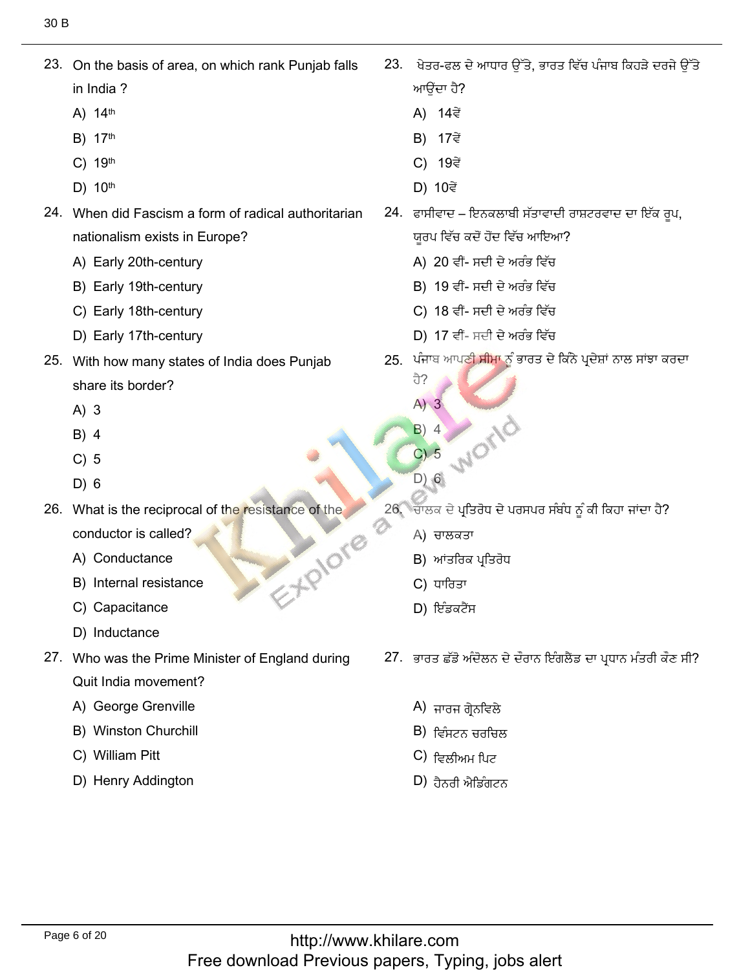23. On the basis of area, on which rank Punjab falls

23. On the basis of area, on which rank Punjab falls

- in India ?<br>A) 14<sup>th</sup>
- A) 14<sup>th</sup><br>B) 17<sup>th</sup> A) 14<sup>th</sup><br>B) 17<sup>th</sup>
- 17<sup>th</sup><br>19<sup>th</sup> B) 17<sup>th</sup><br>C) 19<sup>th</sup>
- 19<sup>th</sup><br>10<sup>th</sup> ٍᶤ 24. When did Fascism a form of radical authoritarian
- 24. When did Fascism a form of radical authoritarian nationalism exists in Europ<br>A) Earlv 20th-centurv
	- A) Early 20th-century<br>B) Earlv 19th-centurv
	- B) Early 19th-century<br>C) Earlv 18th-centurv
	- C) Early 18th-century<br>D) Early 17th-century
	- D) Early 17th-century
- 25. With how many states of India does Punjab share its <mark>t</mark><br>A) 3
	- $A)$  3 3<br>4
	- $B)$  4 4<br>5
	- C) 5<br>D) 6
	-
- 26. What is the reciprocal of the resistance of the Explore
	- conductor is called?<br>A) Conductance A) Conductance
	- A) Conductance<br>
	B) Internal resistance<br>
	C) Capacitance
	- C) Capacitance<br>D) Inductance
	- D) Inductance
- 27. Who was the Prime Minister of England during Quit India movement'<br>A) George Grenville
	- A) George Grenville<br>B) Winston Churchill
	- B) Winston Churchi<br>C) William Pitt
	- C) William Pitt
	- D) Henry Addington

?3. ਖੇਤਰ-ਫਲ ਚੌ

ِيُّةٌ مِنْ الْمُسْتَخِيرِ 23. وَالْمُسْتَخِيرُ 23. وَالْمُسْتَخِيرُ 23. وَالْمُسْتَخِيرَ 23. وَالْمُسْتَخِيرَ

- ਆਉਂਦਾ ਹੈ?<br>A) 14ਵੇਂ
- A) 14ਵੇਂ<br>B) 17ਵੇਂ
- B) 17ਵੇਂ<br>C) 19ਵੇਂ **C) 19ਵੇਂ**
- 
- D) 10ਵੇਂ<br>24. ਫਾਸੀਵਾਦ ਇਨਕਲਾਬੀ ਸੱਤਾਵਾਦੀ ਰਾਸ਼ਟਰਵਾਦ ਦਾ ਇੱਕ ਰਪ,
	- ਯੂਰਪ ਵਿੱਚ ਕਦੋਂ ਹੋਂਦ ਵਿੱਚ ਆਇਆ<br>A) 20 ਵੀਂ- ਸਦੀ ਦੇ ਅਰੰਭ ਵਿੱਚ A) 20 ਵੀਂ- ਸਦੀ ਦੇ ਅਰੰਭ ਵਿੱਚ
	- A) 20 ਵੀਂ- ਸਦੀ ਦੇ ਅਰੰਭ ਵਿੱਚ<br>B) 19 ਵੀਂ- ਸਦੀ ਦੇ ਅਰੰਭ ਵਿੱਚ
	- B) 19 ਵੀਂ- ਸਦੀ ਦੇ ਅਰੰਭ ਵਿੱਚ<br>C) 18 ਵੀਂ- ਸਦੀ ਦੇ ਅਰੰਭ ਵਿੱਚ<br>D) 17 ਵੀਂ- ਸਦੀ ਦੇ ਅਰੰਭ ਵਿੱਚ
	- $D$ ) 17 ਵੀਂ- ਸਦੀ ਦੇ ਅਰੰਭ ਵਿੱਚ
	- , ਪੰਜਾ
		- $A)$  3

ਹੈ?

- $(A)$  3<br>B) 4
- $\begin{bmatrix} B & 4 \\ C & 5 \end{bmatrix}$  $26.5$ <br>
26. What is the reciprocal of the reciprocal of the resistance of the reciprocal of the resistance of the resistance of the resistance of the resistance of the resistance of the resistance of the resistance of the
	- $D)$   $6$
	- ਂ. ਚਾਲਕ ਦੇ ਪ੍ਰਤਿਰੋਧ<br>A) ਚਾਲਕਤਾ
		- A) ਚਾਲਕਤਾ
		- A) ਚਾਲਕਤਾ<br>B) ਆਂਤਰਿਕ ਪ੍ਰਤਿ<br>C) ਧਾਰਿਤਾ
		- $C$ ) ਧਾਰਿਤਾ
		- D) ਇੰਡਕਟੈਂਸ
	- 27. ਭਾਰਤ ਛੱਡੋ ਅੰਦੋਲਨ ਦੇ ਦੌਰਾਨ ਇੰਗਲੈਂਡ ਦਾ ਪ੍ਰਧਾਨ ਮੰਤਰੀ ਕੌਣ ਸੀ?
		- A) ਜਾਰਜ ਗ੍ਰੇਨਵਿਲੇ<br>B) ਇੰਧਟਨ ਜਰਜਿਲ
		- B) ਵਿੰਸਟਨ ਚਰਚਿ<br>C) ਵਿਲੀਅਮ ਪਿਟ
		- C) ਵਿਲੀਅਮ ਪਿਟ<br>D) ਰੈਨਰੀ ਐਤਿੰਗਟਨ
		-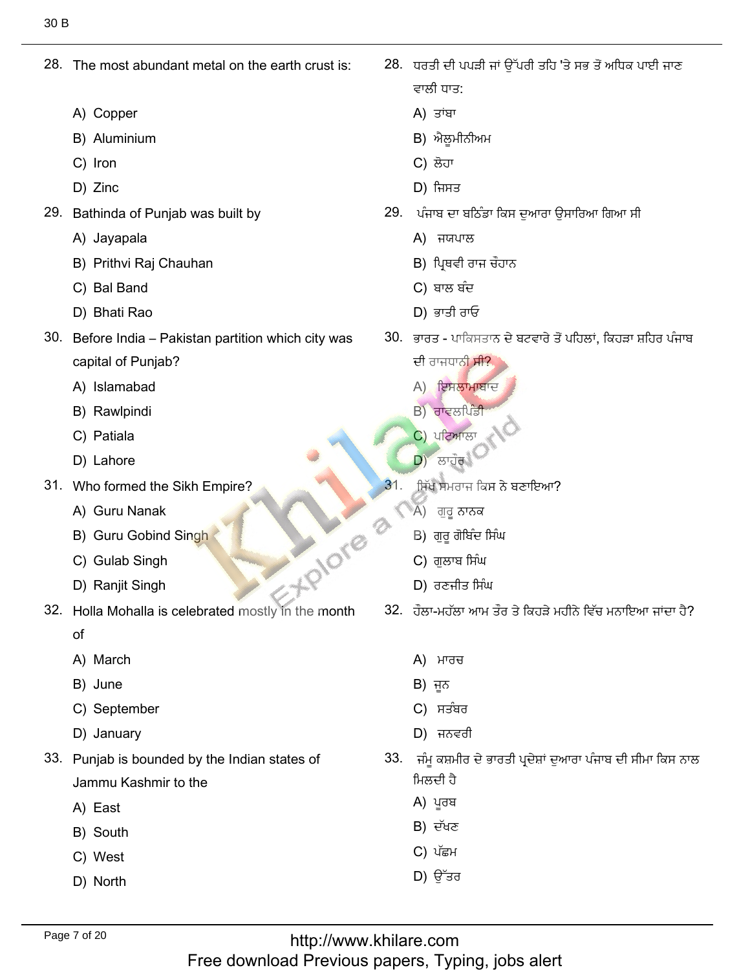28. The most abundant metal on the earth crust is:

28. The most abundant metal on the earth crust is:

- A) Copper
- A) Copper<br>B) Aluminium<br>C) Iron
- C) Iron<br>D) Zinc
- D) Zinc
- Bathinda of Punja<br>A) Javapala
	- A) Jayapala
- A) Jayapala<br>B) Prithvi Raj Chauhan<br>C) Bal Band was city which partition Pakistan ñ India Before 30. خْئؿْه (D ف٫نًْن (C كِْٚصطْئٍـᴆلٓ (B
	- C) Bal Band
	- D) Bhati Rao
- 30. Before India Pakistan partition which city was capital of Punjab?<br>A) Islamabad
	- A) Islamabad<br>B) Rawlpindi
	- B) Rawlpindi<br>C) Patiala
	- C) Patiala<br>D) Lahore
	- D) Lahore
- Who formed the Sikh<br>A) Guru Nanak
	- A) Guru Nanak
	- A) Guru Nanak<br>B) Guru Gobind Singh<br>C) Gulab Singh M) Guru Nanak<br>B) Guru Gobind Singh<br>C) Gulab Singh<br>D) Ranjit Singh<br>D) तटनीड मिंਘ
	- C) Gulab Singh<br>D) Raniit Singh
	-
- 32. Holla Mohalla is celebrated mostly in the month  $\alpha$ 
	-
	- of<br>A) March<br>B) June
	- B) June
	- B) June<br>C) September<br>D) Januarv
	- D) January
- 33. Punjab is bounded by the Indian states of Jammu Kashmir to the
	- Jammu <mark>I</mark><br>A) East
	- A) East<br>B) South<br>C) West
	-
	- C) West<br>D) North
- ؾْطةْلذقٓئᶦؿهُٗؿ'ِٓؿٔيل᷀تإْطٟٔللٔفٔؿيق 28. :ؿْقًٍْٔਵਾਲੀ ਧਾਤ:<br>A) ਤਾਂਬਾ وئٔكٔو ًٖح
	-
	- A) ਤਾਂਬਾ<br>B) ਐਲੂਮੀਨੀਅਮ<br>C) ਲੋਹਾ
	- C) ਲੋਹਾ
- C) ਲੋਹਾਂ<br>D) ਜਿਸਤ
	- ). ਪੰਜਾਬ ਦਾ ਬਠਿੰਡ<br>A) ਜਯਪਾਲ
		-
		-
		-
		-
- D) ਭਾਤੀ ਰਾਓ<br>30. ਭਾਰਤ ਪਾਕਿਸਤਾਨ ਦੇ ਬਟਵਾਰੇ ਤੋਂ ਪਹਿਲਾਂ, ਕਿਹੜਾ ਸ਼ਹਿਰ ਪੰਜਾਬ<br>ਦੀ ਰਾਜਧਾਨੀ ਸੀ?
	- ਦੀ ਰਾਜਧਾਨ<mark>ੀ ਸੀ?</mark>
	- A) ਇਸਲਾਮਾਬਾਦ
	- $B$ ) ਰਾਵਲਪਿੰਡੀ
	- C) ਪਟਿਆਲਾ
	- $\overrightarrow{D}$  ) ਲਾਹੌਰ
	- ਸਿੱਖ ਸਮਰਾਜ ਕਿ<br>A) ਗਰ ਨਾਨਕ
		-
		-
		-
		-
	- 32. ਹੌਲਾ-ਮਹੱਲਾ ਆਮ ਤੌਰ ਤੇ ਕਿਹੜੇ ਮਹੀਨੇ ਵਿੱਚ ਮਨਾਇਆ ਜਾਂਦਾ ਹੈ?
		- A) ਮਾਰਚ
		- B) ਜੂਨ
		- A) ਮਾਰਚ<br>B) ਜੂਨ<br>C) ਸਤੰਬਰ<br>D) ਜਨਵਰੀ
		- $D$ ) ਜਨਵਰੀ
	- ।<br>'ਚੰਮ ਕਸ਼ਮ ਮਿਲਦੀ ਹੈ<br>A) ਪੂਰਬ<br>B) ਦੱਖਣ<br>C) ਪੱਛਮ<br>D) ਉੱਤਰ
		-
		-
		- C) ਪੱਛਮ
		-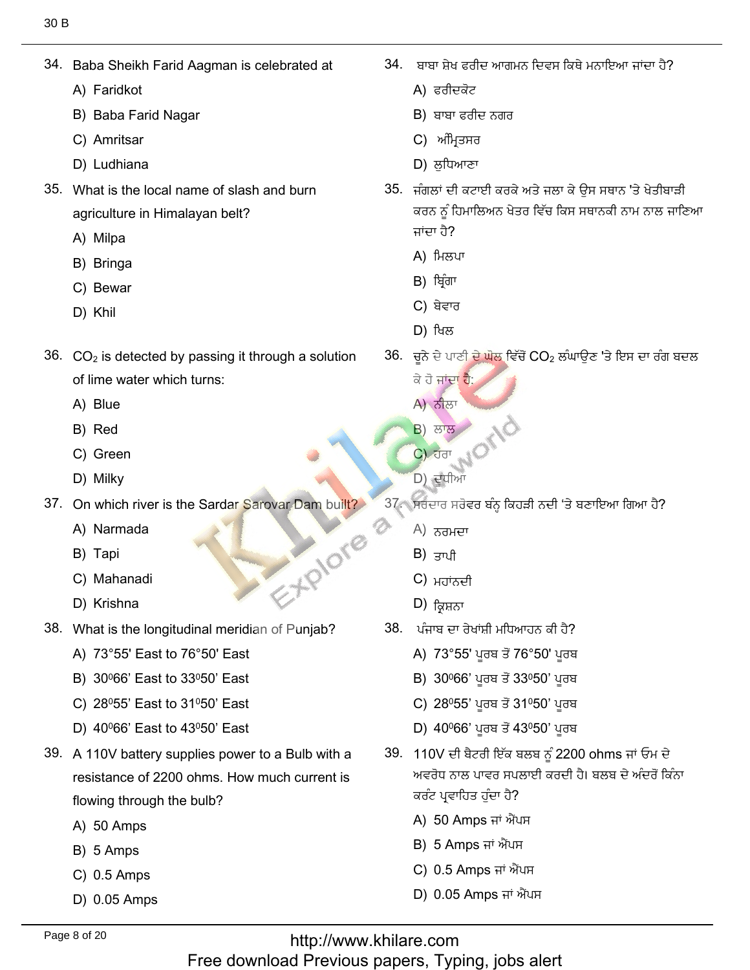Baba Sheikh Far<br>A) Faridkot

34. Baba Sheikh Farid Aagman is celebrated at

- A) Faridkot
- A) Faridkot<br>B) Baba Farid Nagar<br>C) Amritsar
- C) Amritsar
- D) Ludhiana ًٕٓؾاقْ 35. What is the local name of slash and burn
- 35. What is the local name of slash and burn agriculture in I<br>A) Milpa
	- A) Milpa<br>B) Bringa
	- B) Bringa<br>C) Bewar
	- C) Bew<br>D) Khil
	-
- 36.  $CO<sub>2</sub>$  is detected by passing it through a solution of lime water<br>A) Blue
	- A) Blue<br>B) Red
	- B) Red
	- B) Red<br>C) Green<br>D) Milkv
	- D) Milky
- On which river is t<br>A) Narmada
	- A) Narm<br>B) Tapi
	- B) Tapi
	- B) Tapi<br>C) Mahanadi<br>D) Krishna 3 Mahanadi<br>3 Mahanadi<br>3 Mahanadi meridian of Punjab<sup>2</sup>
	-
- What is the longitudinal meridian ot<br>A) 73°55' East to 76°50' East
	- A) 73°55' East to 76°50' East<br>B) 30º66' East to 33º50' East
	- B) 30º66' East to 33º50' East<br>C) 28º55' East to 31º50' East
	- C) 28º55' East to 31º50' East<br>D) 40º66' East to 43º50' East
	- D) 40°66' East to 43°50' East
- 39. A 110V battery supplies power to a Bulb with a resistance of 2200 ohms. How much current is flowing through th<br>A) 50 Amps
	- A) 50 Amps<br>B) 5 Amps
	- B) 5 Amps
	- B) 5 Amps<br>C) 0.5 Amps<br>D) 0.05 Amps
	-

34. ਬਾਬਾ ਸੇਖ ਫਰੀਦ ਆਗਮਨ ਦਿਵਸ ਕਿਥੇ ਮਨਾਇਆ ਜਾਂਦਾ ਹੈ?

"ِْ٘فإْطابْكوٗـذٓ

- 
- ੜਾਬਾ ਫਰੀ ਬਾਬਾ ਸ਼ੇਖ ਫਰੀਦ ਆਗਮ<br>A) ਫਰੀਦਕੋਟ<br>B) ਬਾਬਾ ਫਰੀਦ ਨਗਰ<br>C) ਅੰਮਿਤਸਰ
- C) ਅੰਮ੍ਰਿਤਸਰ
- 
- ്D) ਲੁਧਿਆਣਾ<br>35. ਜੰਗਲਾਂ ਦੀ ਕਟਾਈ ਕਰਕੇ ਅਤੇ ਜਲਾ ਕੇ ਉਸ ਸਥਾਨ 'ਤੇ ਖੇਤੀਬਾੜੀ<br>ਕਰਨ ਨੰ ਹਿਮਾਲਿਅਨ ਖੇਤਰ ਵਿੱਚ ਕਿਸ ਸਥਾਨਕੀ ਨਾਮ ਨਾਲ ਜਾਣਿਆ ਕਰਨ ਨੂੰ ਹਿਮਾਲਿਅਨ ਖੇਤਰ ਵਿੱਚ ਕਿਸ ਸਥਾਨਕੀ ਨਾਮ ਨਾਲ ਜਾਣਿਆ ਜਾਂਦਾ ਹੈ? ਜਾਂਦਾ ਹੈ?<br>A) ਮਿਲਪਾ<br>B) ਬਿੰਗਾ
	-
	-
	- B) ਬ੍ਰਿੰਗਾ<br>C) ਬੇਵਾਰ C) ਬੇਵਾਰ<br>D) ਖਿਲ
	-
- D) ਖਿਲ<br>36. ਚਨੇ ਦੇ ਪਾਣੀ ਦੇ ਘੋਲ ਵਿੱਚੋਂ CO<sub>2</sub> ਲੰਘਾਉਣ 'ਤੇ ਇਸ ਦਾ ਰੰਗ ਬਦਲ
	- ਕੇ ਹੋ ਜਾਂਦਾ **ਹੈ**:<br>A) ਨੀਲਾ **A) ਨੀ**ਲਾ
	- ਨੀਲਾ<br>ਲਾਲ ਹੈ  $\begin{bmatrix} 1 & 0 \\ 0 & 0 \end{bmatrix}$  (C)  $\begin{bmatrix} 1 & 0 \\ 0 & 0 \end{bmatrix}$
- C) ਹਰਾ  $\begin{pmatrix} C \ D \end{pmatrix}$   $\begin{pmatrix} C \ D \end{pmatrix}$ ,  $\begin{pmatrix} C \ D \end{pmatrix}$ ,  $\begin{pmatrix} C \ D \end{pmatrix}$ ,  $\begin{pmatrix} C \ D \end{pmatrix}$ ,  $\begin{pmatrix} C \ D \end{pmatrix}$ ,  $\begin{pmatrix} C \ D \end{pmatrix}$ ,  $\begin{pmatrix} C \ D \end{pmatrix}$ ,  $\begin{pmatrix} C \ D \end{pmatrix}$ ,  $\begin{pmatrix} C \ D \end{pmatrix}$ ,  $\begin{pmatrix} C \ D \end{pmatrix}$ ,  $\begin{pmatrix} C \ D \end{$ 
	-
	- ੱਚੇ ਸਰਦਾਰ ਸਰੋਵਰ ਬ<br>A) ਨਰਮਦਾ
		- A) ਨਰਮਦਾ<br>B) ਤਾਮੀ
		- $B$ ) ਤਾਪੀ
		- B) ਤਾਪੀ<br>C) ਮਹਾਂਨਦੀ<br>D) ਕਿਬਨਾ
		- $D$ ) ਕ੍ਰਿਸ਼ਨਾ
	- ਪੰਜਾਬ ਦਾ ਰੇਖਾਂਸ਼ੀ ਮਧਿਆਹਨ ਕੀ ਹੈ?<br>A) 73°55' ਪਰਬ ਤੋਂ 76°50' ਪਰਬ
		- A) 73°55' ਪੂਰਬ ਤੋਂ 76°50' ਪੂਰਬ<br>B) 30º66' ਪਰਬ ਤੋਂ 33º50' ਪਰਬ
		- B) 30º66' ਪੂਰਬ ਤੋਂ 33º50' ਪੂਰਬ<br>C) 28º55' ਪਰਬ ਤੋਂ 31º50' ਪਰਬ
		- C) 28º55' ਪੂਰਬ ਤੋਂ 31º50' ਪੂਰਬ<br>D) 40º66' ਪਰਬ ਤੋਂ 43º50' ਪਰਬ
		- D) 40<sup>0</sup>66' ਪੂਰਬ ਤੋਂ 43º50' ਪੂਰਬ
	- 39. 110V ਦੀ ਬੈਟਰੀ ਇੱਕ ਬਲਬ ਨੂੰ 2200 ohms ਜਾਂ ਓਮ ਦੇ ਅਵਰੋਧ ਨਾਲ ਪਾਵਰ ਸਪਲਾਈ ਕਰਦੀ ਹੈ। ਬਲਬ ਦੇ ਅੰਦਰੋਂ ਕਿੰਨਾ
		- ਕਰੰਟ ਪ੍ਰਵਾਹਿਤ ਹੁੰਦਾ ਹੈ?<br>A) 50 Amps ਜਾਂ ਐਂਪਸ A) 50 Amps ਜਾਂ ਐਂਪ<br>B) 5 Amps ਜਾਂ ਐਂਪਸ
		- B) 5 Amps ਜਾਂ ਐਂਪਸ<br>C) 0.5 Amps ਜਾਂ ਐਂਪਸ
		- C) 0.5 Amps ਜਾਂ ਐਂਪਸ<br>D) 0.05 Amps ਜਾਂ ਐਂਪਸ
		-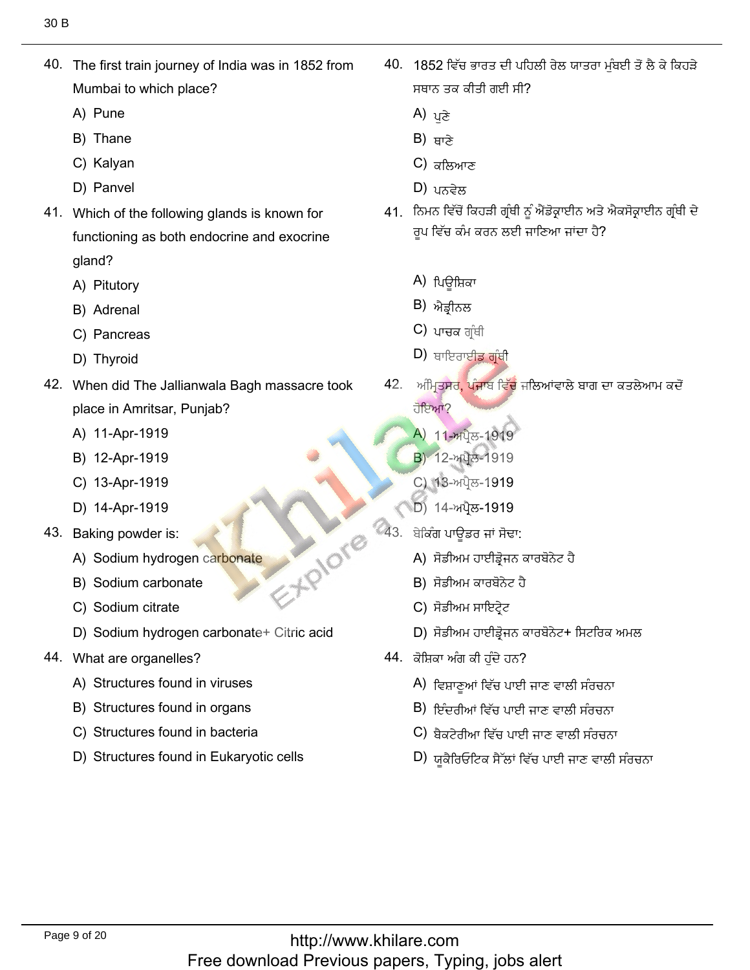40. The first train journey of India was in 1852 from Mumbai to wh<br>A) Pune

40. The first train journey of India was in 1852 from

- A) Pune<br>B) Thane
- B) Thane
- B) Thane<br>C) Kalyan<br>D) Panvel
- D) Panvel
- 41. Which of the following glands is known for functioning as both endocrine and exocrine gland? gland?<br>A) Pitutory<br>B) Adrenal
	-
	- B) Adrenal
	- B) Adrenal<br>C) Pancreas<br>D) Thvroid
	- D) Thyroid
- 42. When did The Jallianwala Bagh massacre took place in Amritsar, Pui<br>A) 11-Apr-1919
	- A) 11-Apr-1919<br>B) 12-Apr-1919
	- B) 12-Apr-1919<br>C) 13-Apr-1919
	- C) 13-Apr-1919<br>D) 14-Apr-1919
	-
- 43. Baking powder is:
	- Baking powder is:<br>A) Sodium hydrogen carbonate<br>B) Sodium carbonate
	- B) Sodium carbon<br>C) Sodium citrate
	- C) Sodium citrate
- C) Sodium citrate<br>D) Sodium hydrogen carbonate+ Citric acid
- 44. What are organelles?
	- What are organelles?<br>A) Structures found in viruses
	- A) Structures found in viruses<br>B) Structures found in organs<br>C) Structures found in bacteria
	- C) Structures found in bacteria
	- D) Structures found in Eukaryotic cells

40. 1852 ਵਿੱਚ ਭਾਰਤ ਦੀ ਪਹਿ ਸਥਾਨ ਤਕ ਕੀਤੀ<br>A) <sub>ਪ</sub>ੜੇ

ِيُّةٍ مِنْ الْفَرْقَةِ بِيَانِيًا فِي الْفَرْقَةِ بِيَانِيَةٍ فِي الْفَرْقَةِ بِيَانِيَةٍ فِي الْفَرْقَةِ بِي

- A) ਪੁਣੇ<br>B) ਸਾਣੇ
- $B$ ) ਬਾਣੇ
- B) ਥਾਣੇ<br>C) ਕਲਿਆਣ<br>D) ਮੁਨਦੇਲ
- $D$ ) עלאָ
- ़ ਨਿਮਨ ਵਿੱਚੋਂ ਕਿਹੜੀ ਗ੍ਰੰਥੀ ਨੂੰ ਐਂਡੋਕ੍ਰਾਈਨ ਅਤੇ <sup>,</sup> ਰਪ ਵਿੱਚ ਕੰਮ ਕਰਨ ਲਈ ਜਾਣਿਆ ਜਾਂਦਾ ਹੈ?
	- A) ਪਿਊਸ਼ਿਕਾ<br>B) ਐਤੀਨਲ
	- B) ਐਡ੍ਰੀਨਲ<br>C) ਮਾਜ਼ਕ ਗੰਸੀ
	- C) ਪਾਚਕ ਗ੍ਰੰਥੀ<br>D) ਸਾਇਰਾਈ<mark>ਤ ਗੰ</mark>ਸੀ
	- **D**) ਥਾਇਰਾਈਡ ਗੁੰਥੀ
- 42. ਅੰਮ੍ਰਿ<mark>ਤਸ</mark>ਰ ਹੋਇਆ? ਪਿਊਸ਼ਿਕਾ<br>ਐਡ੍ਰੀਨਲ<br>ਪਾਚਕ ਗ੍ਰੰਥੀ<br>ਬਾਇਰਾਈ<mark>ਡ ਗ੍ਰੰਥੀ</mark><br>ਪ੍ਰਤਸਰ, ਪੰਜਾਬ ਵਿੱਚ ਜਲਿਆਂਵਾਲੇ<br>ਆ?<br>12-ਅਪ੍ਰੈਲ-1919<br>13-ਅਪ੍ਰੈਲ-1919<br>13-ਅਪ੍ਰੈਲ-1919 ਖ ਚੱਖ ਗ੍ਰੰਥੀ<br>ਬਾਇਰਾਈਡ ਗ੍ਰੰਥੀ<br>ਮੁਤਸਰ, ਪੰਜਾਬ ਵਿੱਚ ਜਲਿਆਂਵਾਲੇ ਬਾਗ ਦਾ ਕਤਲੇ<br>ਮਾਂ?<br>11-ਅਪ੍ਰੈਲ-1919<br>13-ਅਪ੍ਰੈਲ-1919<br>14-ਅਪ੍ਰੈਲ-1919<br>ਗ ਪਾਊਡਰ ਜਾਂ ਸੋਢਾ:<br>ਸੋਡੀਅਮ ਹਾਈਡ੍ਰੋਜਨ ਕਾਰਬੋਨੇਟ ਹੈ<br>ਸੋਡੀਅਮ ਕਾਰਬੋਨੇਟ ਹੈ<br>ਸੋਡੀਅਮ ਕਾਰਬੋਨੇਟ ਹੈ
	- ਹਇਆ?<br>A) 11-ਅਪ੍ਰੈਲ-1919<br>B) 12-ਅਪ੍ਰੈਲ-1919
	-
	- <mark>B</mark>) 12-ਅਪ੍ਰੈਲ-1919<br>C) 13-ਅਪ੍ਰੈਲ-1919
- المسلم C) 13-Apr-1919<br>- D) 14-Apr-1919<br>- D) 14-ਅਪ੍ਰੈਲ-1919
	- ਬੇਕਿੰਗ ਪਾਊਡਰ ਜ<br>A)ਾਸੋਡੀਅਮ ਹਾਬ
		- A) ਸੋਡੀਅਮ ਹਾਈਡ੍ਰੋਜਨ ਹ<br>B) ਸੋਡੀਅਮ ਕਾਰਬੋਨੇਟ ਹੈ
		- B) ਸੋਡੀਅਮ ਕਾਰਬੋਨੇ<br>C) ਸੋਡੀਅਮ ਸਾਇਟੇਟ
		-
	- C) ਸੋਡੀਅਮ ਸਾਇਟ੍ਰੇਟ<br>D) ਸੋਡੀਅਮ ਹਾਈਡ੍ਰੋਜਨ ਕ
		- - ً⊦. ਕੋਸ਼ਿਕਾ ਅੰਗ ਕੀ ਹੁੰਦੇ ਹਨ?<br> A) <del>ਟਿ</del>ਬਾਣੂਆਂ ਟਿੱਜ ਮਾਈ ਹਾਣ ਰਾਲੀ ਬੰਤਜਨਾ Å) ਵਿਸ਼ਾਣੂਆਂ ਵਿੱਚ ਪਾਈ ਜਾਣ ਵਾਲੀ ਸੰਰਚਨਾ<br>B) ਇੰਦਰੀਆਂ ਵਿੱਚ ਪਾਈ ਹਾਣ ਵਾਲੀ ਸੰਰਚਨਾ
				- B) ਇੰਦਰੀਆਂ ਵਿੱਚ ਪਾਈ ਜਾਣ ਵਾਲੀ ਸੰਰਚਨਾ<br>C) ਬੈਕਟੇਰੀਆ ਵਿੱਚ ਪਾਈ ਜਾਣ ਵਾਲੀ ਸੰਰਚਨਾ
				- C) ਬੈਕਟੇਰੀਆ ਵਿੱਚ ਪਾਈ ਜਾਣ ਵਾਲੀ ਸੰਰਚਨਾ<br>D) ਸ਼ੂਕੈਰਿਓਟਿਕ ਬੈੱਲਾਂ ਵਿੱਚ ਪਾਈ ਜਾਣ ਵਾਲੀ ਸੰਰਚਨਾ
				-

- XPIOre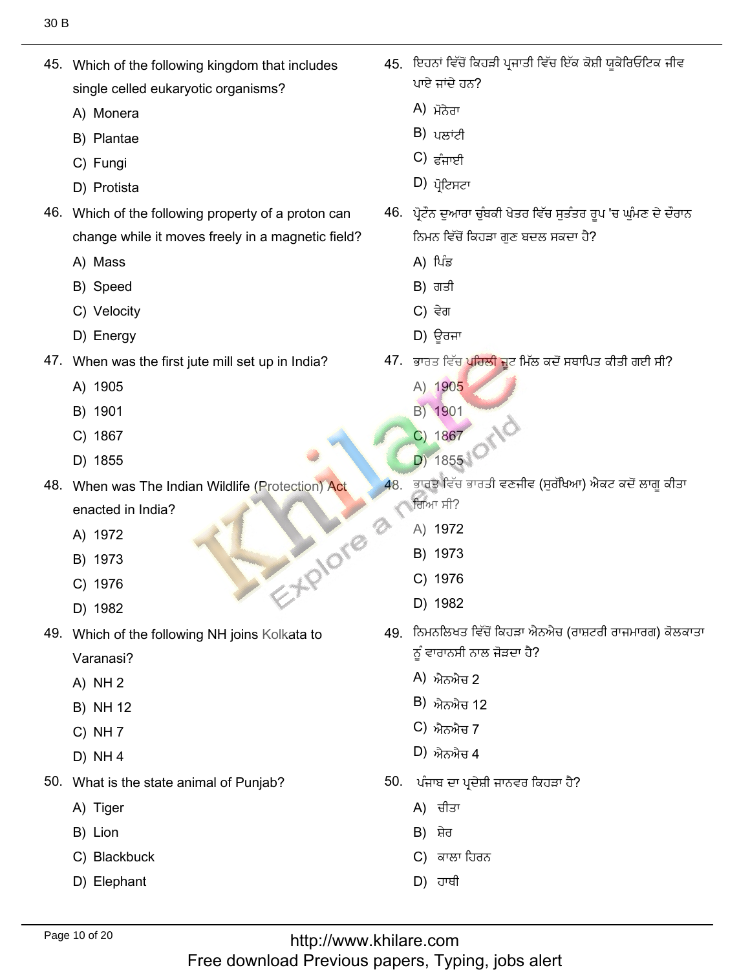45. Which of the following kingdom that includes single celled euk<br>A) Monera

 $\mathcal{A}_{\mathcal{A}}$  , which of the following kingdom that includes that includes that includes that includes that includes the following the following the following the following the following the following the following the f

- A) Monera<br>B) Plantae
- B) Plantae<br>C) Fungi
- C) Fungi
- C) Fungi<br>D) Protista
- 46. Which of the following property of a proton can change while i<br>A) Mass
	- A) Mass
	- A) Mass<br>B) Speed
	- B) Speed<br>C) Velocity<br>D) Enerav
	- D) Energy
- When was the<br>A) 1905
	- A) 1905<br>B) 1901
	- B) 1901<br>C) 1867
	- C) 1867<br>D) 1855
	- D) 1855
- 48. When was The Indian Wildlife (Protection) Act enacted in Inc<br>A) 1972 C) 1976<br>D) 1982
	- A) 1972<br>B) 1973
	- B) 1973<br>C) 1976
	- C) 1976<br>D) 1982
	-
- 49. Which of the following NH joins Kolkata to
	- Varanasi?<br>A) NH 2 A) NH  $2$
	- A) NH 2<br>B) NH 12<br>C) NH 7
	- C) NH 7<br>D) NH 4
	- $D)$  NH 4
- What is the st<br>A) Tiger
	- A) Tiger<br>B) Lion
	- B) Lion
	- B) Lion<br>C) Blackbuck<br>D) Elephant
	-

45. ਇਹਨਾਂ ਵਿੱਚੋਂ ਕਿਹੜੀ ਪ੍ਰਜਾਤੀ ਵਿੱਚ ਇੱਕ ਕੋਸ਼ੀ ਯਕੇਰਿਓਟਿਕ ਜੀਵ ਪਾਏ ਜਾਂਦੇ ਹਨ?<br>A) ਪੋ<del>ਨੇ</del>ਗ

ِّطِيِّ مِنْ الْكِبَارِ فِي الْكِبَارِ فِي الْكِبَارِ فِي الْكِبَارِ فِي الْكِبَارِ فِي الْكِبَارِ فِي الْكِبَ

- $\overline{A}$ לג) אלג
- A) ਮੋਨੇਰਾ<br>B) ਪਲਾਂਟੀ<br>C) ਵੰਜਾਈ
- C) ਫੰਜਾਈ<br>D) ਮੋਟਿਬਟਾ
- 
- كا) ਪ੍ਰੀਟਸਟਾ<br>46. ਪੋਟੌਨ ਦੁਆਰਾ ਚੰਬਕੀ ਖੇਤਰ ਵਿੱਚ ਸਤੰਤਰ ਰੂਪ 'ਚ ਘੰਮਣ ਦੇ ਦੌਰਾਨ ਨਿਮਨ ਵਿੱਚੋਂ ਕਿਹ<del>.</del><br>A)ੀਪੰਡ
	- A) ਪਿੰਡ<br>B) ਗਤੀ
	- B) ਗਤੀ<br>C) ਵੇਗ
	- $C$ ) ਵੇਗ
- C) ਵੇਗ<br>D) ਊਰਜਾ
	- '. ਭਾਰਤ ਵਿੱਚ ਪਹਿਲੀ<br>A) 1905
		- A) 1905<br>B) 1901
		- B) 1901
		- B) 1901<br>C) 1867
- $\frac{1867}{D}$  18551 (2)
	- ਭਾਰਤ ਵਿੱਚ ਭਾਰਤੀ ਵਣਜੀਵ (ਸੁਰੱਖਿਆ) ਐਕਟ ਕਦੋਂ ਲਾਗੂ ਕੀਤਾ 48 ਗਿਆ ਸੀ? ਗਿਆ ਸੀ?<br>A) 1972<br>B) 1973
		-
		- B) 1973<br>C) 1976
		- C) 1976<br>D) 1982
- $\Box$  1982
	- <mark>)</mark>਼ ਨਿਮਨਲਿਖਤ ਵਿੱਚੋਂ ਕਿਹੜਾ ਐਨ ਨੂੰ ਵਾਰਾਨਸੀ ਨਾਲ<br>A) ਐਨਐਜ 2
		- A) ਐਨਐਜ਼ 2
		- A) ਐਨਐਚ 2<br>B) ਐਨਐਚ 12<br>C) ਐਨਐਚ 7
		- C) ਐਨਐਚ 7<br>D) ਐਨਐਚ 4
		- $D$ ) ਐਨਐਚ $4$
	- ). ਪੰਜਾਬ ਦਾ ਪ੍ਰਦੇਸ਼ੀ<br>A) ਚੀਤਾ
		- A) ਚੀਤਾ<br>B) ਸ਼ੇਰ
		- B) ਸ਼ੇਰ
		- B) ਸ਼ੇਰ<br>C) ਕਾਲਾ ਹਿਰਨ<br>D) ਹਾਥੀ
		-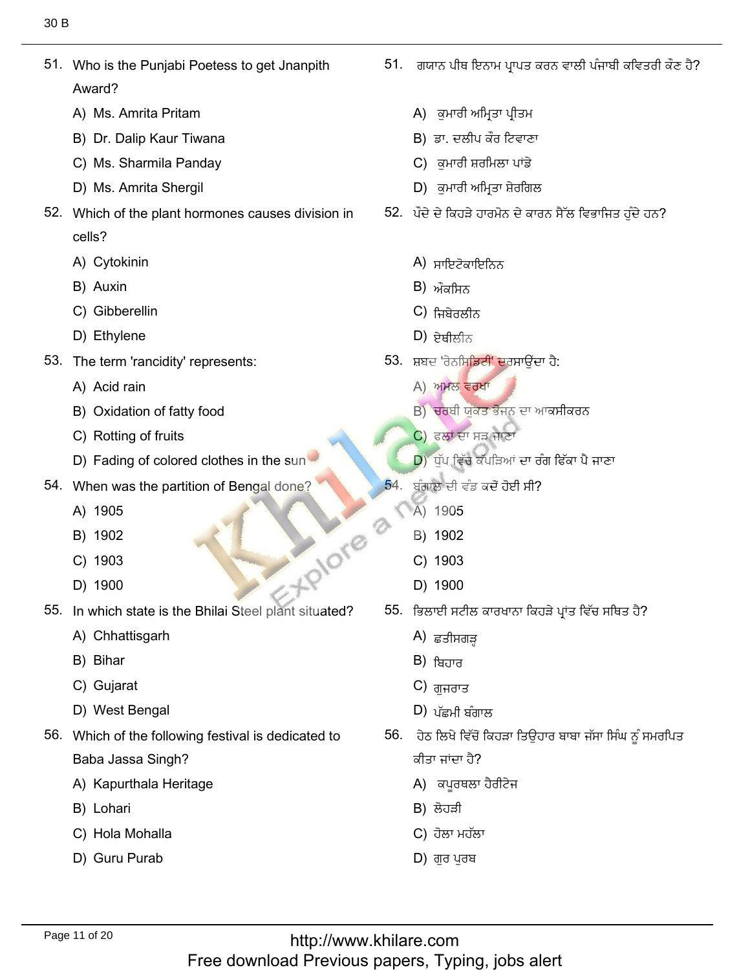51. Who is the Punjabi Poetess to get Jnanpith Award? Award?<br>A) Ms. Amrita Pritam

51. Who is the Punjabi Poetess to get Jnanpith

- 
- A) Ms. Amrita Pritam<br>B) Dr. Dalip Kaur Tiwana<br>C) Ms. Sharmila Pandav
- C) Ms. Sharmila Panday<br>D) Ms. Amrita Shergil
- D) Ms. Amrita Shergil
- 52. Which of the plant hormones causes division in cells? cells?<br>A) Cytokinin<br>B) Auxin
	-
	- B) Auxin
	- B) Auxin<br>C) Gibberellin<br>D) Ethvlene
	-
- 53. The term 'rancidity' represents: A) Acid rain
	- A) Acid rain
	- A) Acid rain<br>B) Oxidation of fatty food<br>C) Rotting of fruits
	- C) Rotting of fruits
- C) Rotting of fruits<br>D) Fading of colored clothes in the sun
- When was the<br>A) 1905
	- A) 1905<br>B) 1902
	- B) 1902<br>C) 1903 5. ISOS ...
	- C) 1903<br>D) 1900
	-
- In which state is <sup>.</sup><br>A) Chhattisgarh
	- A) Chhattisga<br>B) Bihar
	- B) Bihar
	- B) Bihar<br>C) Gujarat
- C) Gujarat<br>D) West Bengal
- 56. Which of the following festival is dedicated to Baba Jassa Singh?
	- Baba Jassa Singh?<br>A) Kapurthala Heritage<br>B) Lohari
	- B) Lohari
	- B) Lohari<br>C) Hola Mohalla<br>D) Guru Purab
	-

51. ਗਯਾਨ ਪੀਥ ਇਨਾਮ ਪ੍ਰਾਪਤ ਕਰਨ ਵਾਲੀ ਪੰਜਾਬੀ ਕਵਿਤਰੀ ਕੌਣ ਹੈ?

ِّ يُزْيَّتُ إِنَّ يُسْتَخِذُ إِنَّ يَسْتَخْفُسْ بِالْمُسْتَخْفُسْ بِالْمُسْتَخْفُسْ بِالْمُسْتَخْفُسْ بِالْمُ

- (A) ਕੁਮਾਰੀ ਅਮਿ
- B) ਡਾ. ਦਲੀਪ ਕੌਰ ਟਿਵਾਣਾ A) ਕੁਮਾਰੀ ਅਮ੍ਰਿਤਾ ਪ੍ਰੀਤਮ<br>B) ਡਾ. ਦਲੀਪ ਕੌਰ ਟਿਵਾਣਾ<br>C) ਕਮਾਰੀ ਸ਼ਰਮਿਲਾ ਪਾਂਡੇ
- 
- C) ਕੁਮਾਰੀ ਸ਼ਰਮਿਲਾ ਪਾਂਡੇ<br>D) ਕਮਾਰੀ ਅਮਿਤਾ ਸ਼ੇਰਗਿਲ D) ਕੁਮਾਰੀ ਅਮ੍ਰਿਤਾ ਸ਼ੇਰਗਿਲ
- --
	- A) ਸਾਇਟੋਕਾਇ<br>B) ਔੌਤਾ<del>ਰ</del>ਿਨ
	- $\overline{B}$ ) ਔਕਸਿਨ
	- B) ਔਕਸਿਨ<br>C) ਜਿਬੇਰਲੀਨ<br>D) <del>ਏਸੀਲੀਨ</del>
	-
- D) ਏਥੀਲੀਨ<br>53. ਸ਼ਬਦ 'ਰੇਨਸਿ<mark>ਡਿਟੀ' ਦ</mark>ਰਸਾਉਂਦਾ ਹੈ:<br>A) ਅਮਲ ਵਰਖਾ
	- A) ਅਮਲ ਵਰਖਾ
	- A) ਅਮਲ ਵਰਖਾ<br>B) ਚਰਬੀ ਯੁਕਤ ਭੋਜਨ B) ਚਰਬੀ ਯੁਕਤ ਭੋਜਨ ਦਾ ਆਕਸੀਕਰਨ<br>C) ਫਲਾਂ ਦਾ ਸੜ ਜਾਣਾ
	-
- $\begin{pmatrix} 0 & \cos\theta & \sin\theta \\ \cos\theta & \cos\theta & \cos\theta \end{pmatrix}$ ਪ੍ਰਾਪ ਵਿੱਚ ਕੱਪੜਿਆਂ ਦਾ ਰੰ
	- 54 ਬੰਗਾਲ ਦੀ ਵੰਡ ਕਚੋ<br>A) 1905
		- A) 1905
		- A) 1905<br>B) 1902<br>C) 1903
		- C) 1903<br>D) 1900
		- D) 1900
	- 55. ਭਿਲਾਈ ਸਟੀਲ ਕ<br>A) *ਵ*ੜੀਸ਼ੁਰਾੜ
		- A) ਛੁਤੀਸਗੜ੍ਹ<br>B) <del>ਸ</del>਼ਿਹਾਰ
		- B) ਬਿਹਾਰ<br>C) ਗ਼ਜ਼ਰਾਤ
		- $C$ ) ਗੁਜਰਾਤ
- C) ਗੁਜਰਾਤ<br>D) ਪੱਛਮੀ ਬੰਗਾਲ
	- ). ਹੇਠ ਲਿਖੇ ਵਿੱਚੋਂ l ਜਾਂਦਾ ਹੈ?
		- ਕੀਤਾ ਜਾਂਦਾ ਹੈ?<br>A) ਕਪਰਥਲਾ ਹੈ
		-
		- $C$ ) ਹੋਲਾ ਮਹੱਲਾ A) ਕਪੂਰਥਲਾ ਹੈ<br>B) ਲੋਹੜੀ<br>C) ਹੋਲਾ ਮਹੱਲਾ<br>D) ਗਰ ਪਰਬ
		-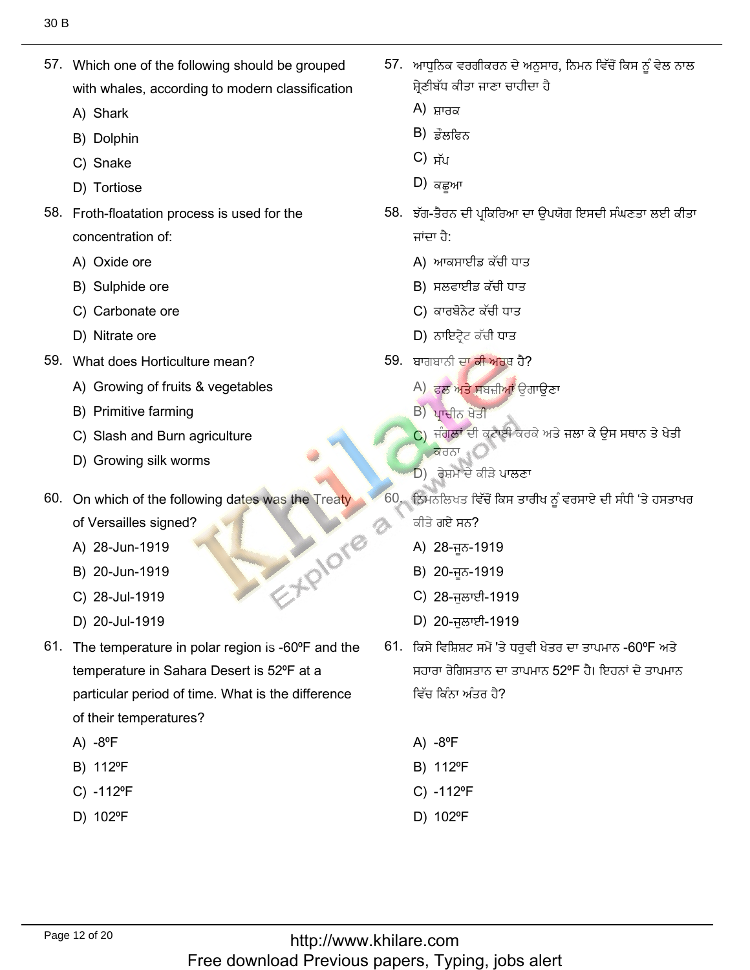57. Which one of the following should be grouped with whales, aิ<br>A) Shark

 $57.57.$  Which one of the following should be grouped by  $\sim$ 

- A) Shark
- A) Shark<br>B) Dolphin<br>C) Snake
- C) Snake
- C) Snake<br>D) Tortiose
- 58. Froth-floatation process is used for the concentration of:<br>A) Oxide ore
	- A) Oxide ore
	- A) Oxide ore<br>B) Sulphide ore
	- B) Sulphide ore<br>C) Carbonate ore<br>D) Nitrate ore
	- D) Nitrate ore
- 59. What does Horticulture mean?
	- What does Horticulture mean?<br>A) Growing of fruits & vegetables<br>B) Primitive farming
	- B) Primitive farming
	- B) Primitive farming<br>C) Slash and Burn agriculture<br>D) Growing silk worms
- 60. On which of the following dates was the Treaty
- 60. On which of the following dates was the Treaty
	- of Versailles signed?<br>A) 28-Jun-1919
	- A) 28-Jun-1919<br>B) 20-Jun-1919  $\begin{array}{c} \begin{array}{c} \text{A.} \\ \text{B.} \end{array} \end{array}$  C) 28-Jul-1919<br>
	D) 20-Jul-1919
	- B) 20-Jun-1919<br>C) 28-Jul-1919
	- C) 28-Jul-1919<br>D) 20-Jul-1919
	-
- 61. The temperature in polar region is  $-60^{\circ}$ F and the temperature in Sahara Desert is 52°F at a particular period of time. What is the difference of their t<br>A) -8ºF
	- $A) -8$ <sup>°</sup>F
	- A) -8ºF<br>B) 112ºF
	- B) 112ºF<br>C) -112ºF<br>D) 102ºF
	-

'. ਆਧਨਿਕ ਵਰਗੀਕਰਨ ਦੇ ਅਨਸਾ ਸ਼੍ਰੇਣੀਬੱਧ ਕੀਤਾ ਜ<mark>ਾ</mark><br>A) ਧਾਰਕ

ُوكِ , يُوسُورُ , وَ يُوسُورُ , وَ يُوسُورُ , وَ يُوسُورُ , وَ يُوسُورُ , وَ يُوسُورُ , وَ يُوسُورُ , وَ يُوسُ

- $\lambda$ ) ਸਾਰਕ
- A) ਸ਼ਾਰਕ<br>B) ਡੌਲਫਿਨ<br>C) ਸੱਮ
- $C$ )  $\vec{H}$
- D) ਕਛਆ  $\Box$ ) ਕਛੂਆ
	- , ਝੱਗ-ਤੈਰਨ ਜਾਂਦਾ ਹੈ:
		- ਜਾਂਦਾ ਹੈ:<br>A) ਆਕਸਾਈਡ ਕੱਚੀ ਧਾਤ
		- A) ਆਕਸਾਈਡ ਕੱਚੀ ਧਾ<br>B) ਸਲਫਾਈਡ ਕੱਚੀ ਧਾः
		- B) ਸਲਫਾਈਡ ਕੱਚੀ ਧਾ<br>C) ਕਾਰਬੋਨੇਟ ਕੱਚੀ ਧਾਤ<br>D) ਨਾਇਟੇਟ ਕੱਚੀ ਧਾਤ
		- D) ਨਾਇਟ੍ਰੇਟ ਕੱਚੀ ਧਾਤ
	- ). ਬਾਗਬਾਨੀ ਦਾ **ਕੀ ਅਰ**ਥ ਹੈ?<br>A) *ਦਲ* ਅਤੇ ਬਬਹੀਆਂ ਉਗਾਉਣਾ
		- A) ਫਲ ਅਤੇ ਸਬ<br>B) ਮਾਜ਼ੀਨ ਮੇਂਦੀ
		- $B$ ੇ ਪ੍ਰਾਚੀਨ ਖੇਤੀ B) <mark>ਪ੍ਰਾਚੀਨ ਖੇਤੀ</mark><br>C) ਜੰਗਲਾਂ ਦੀ ਕੁਟ
- $\overline{\mathsf{q}}$ ਰਨਾ (D يرْؿُِٗؿëٔقُٔ٫فجُْيٖ٫ٍكرٔيْؿُذٓᶦصٍٓ٬ؿرًٓكوكٓ 60.
	-
	- ਨਿਮਨਲਿਖਤ ਵਿੱਚੋਂ ਕਿਸ ਤਾਰੀਖ ਨੂੰ ਵਰਸਾਏ ਦੀ ਸੰਧੀ 'ਤੇ ਹਸਤਾਖਰ
		- ਕੀਤੇ ਗਏ ਸਨ?
		- ਕੀਤੇ ਗਏ ਸਨ?<br>A) 28-ਜੂਨ-1919<br>B) 20-ਜਨ-1919
		- B) 20-ਜੂਨ-1919<br>C) 28-ਜੁਲਾਈ-1919
		- C) 28-ਜੁਲਾਈ-1919<br>D) 20-ਜੁਲਾਈ-1919
		-
- D) 20-ਜੁਲਾਈ-1919<br>10. ਕਿਸੇ ਵਿਸ਼ਿਸ਼ਟ ਸਮੇਂ 'ਤੇ ਧਰਵੀ ਖੇਤਰ ਦਾ ਤਾਪਮਾਨ -60ºF ਅਤੇ ਸਹਾਰਾ ਰੇਗਿਸਤਾਨ ਦਾ ਤਾਪਮਾਨ 52°F ਹੈ। ਇਹਨਾਂ ਦੇ ਤਾਪਮਾਨ
	- $A) -8$ °F
	- A) -8ºF<br>B) 112ºF
	- B) 112ºF<br>C) -112ºF<br>D) 102ºF
	-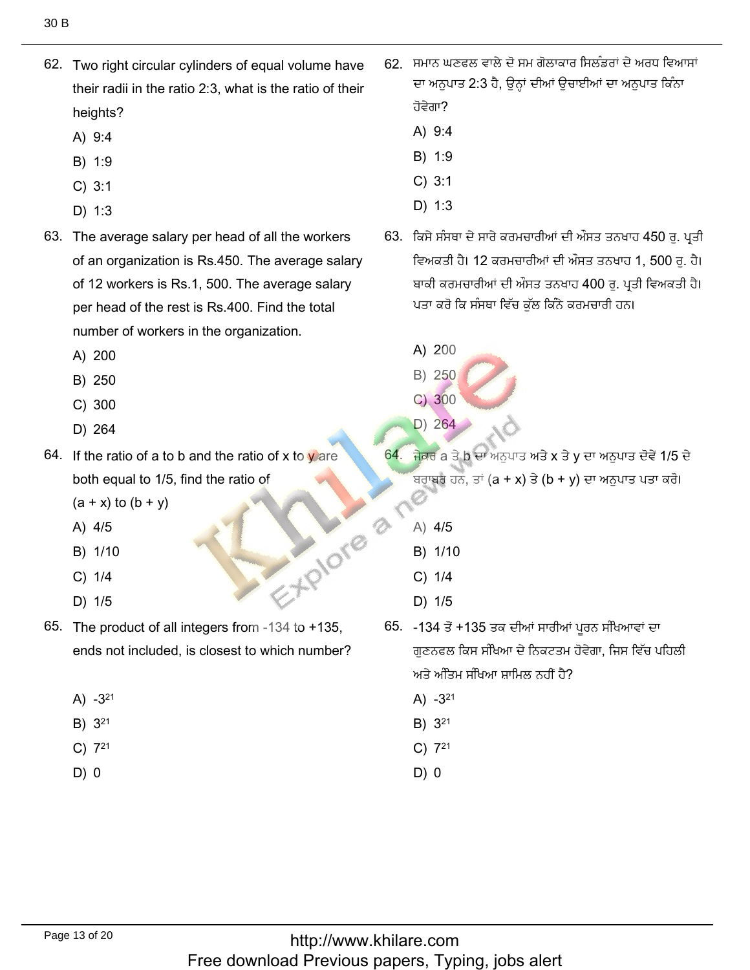- 62. Two right circular cylinders of equal volume have their radii in the ratio 2:3, what is the ratio of their heights?
	- A) 9:4
	- B) 1:9
	- $C) 3:1$
	- $D)$  1:3
- 63. The average salary per head of all the workers of an organization is Rs.450. The average salary of 12 workers is Rs.1, 500. The average salary per head of the rest is Rs.400. Find the total number of workers in the organization.
	- A) 200
	- B) 250
	- $C)$  300
	- D) 264
- 64. If the ratio of a to b and the ratio of x to v are both equal to 1/5, find the ratio of EXPIONB 8
	- $(a + x)$  to  $(b + y)$
	- A) 4/5
	- B) 1/10
	- $C) 1/4$
	- D) 1/5
- 65. The product of all integers from -134 to +135, ends not included, is closest to which number?
	- A)  $-3^{21}$
	- B) 321
	- $C)$  7<sup>21</sup>
	- D) 0
- 62. ਸਮਾਨ ਘਣਫਲ ਵਾਲੇ ਦੋ ਸਮ ਗੋਲਾਕਾਰ ਸਿਲੰਡਰਾਂ ਦੇ ਅਰਧ ਵਿਆਸਾਂ ਦਾ ਅਨੁਪਾਤ 2:3 ਹੈ, ਉਨ੍ਹਾਂ ਦੀਆਂ ਉਚਾਈਆਂ ਦਾ ਅਨੁਪਾਤ ਕਿੰਨਾ ਹੋਵੇਗਾ?
	- A) 9:4
	- B) 1:9
	- $C) 3:1$
	- $D) 1:3$
- 63. ਕਿਸੇ ਸੰਸਥਾ ਦੇ ਸਾਰੇ ਕਰਮਚਾਰੀਆਂ ਦੀ ਔਸਤ ਤਨਖਾਹ 450 ਰੂ. ਪ੍ਰਤੀ ਵਿਅਕਤੀ ਹੈ। 12 ਕਰਮਚਾਰੀਆਂ ਦੀ ਔਸਤ ਤਨਖਾਹ 1, 500 ਰ. ਹੈ। ਬਾਕੀ ਕਰਮਚਾਰੀਆਂ ਦੀ ਔਸਤ ਤਨਖਾਹ 400 ਰ. ਪਤੀ ਵਿਅਕਤੀ ਹੈ। ਪਤਾ ਕਰੋ ਕਿ ਸੰਸਥਾ ਵਿੱਚ ਕੁੱਲ ਕਿੰਨੇ ਕਰਮਚਾਰੀ ਹਨ।
	- A) 200
	- B) 250
	- $C)300$
	- D) 264
- 64. ਜੇਕਰ a ਤੇ b ਦਾ ਅਨਪਾਤ ਅਤੇ x ਤੇ y ਦਾ ਅਨਪਾਤ ਦੋਵੇਂ 1/5 ਦੇ ਬਰਾਬਰ ਹਨ, ਤਾਂ (a + x) ਤੇ (b + y) ਦਾ ਅਨੁਪਾਤ ਪਤਾ ਕਰੋ।
	- A) 4/5
	- B) 1/10
	- $C) 1/4$
	- D) 1/5
- 65. -134 ਤੋਂ +135 ਤਕ ਦੀਆਂ ਸਾਰੀਆਂ ਪੂਰਨ ਸੰਖਿਆਵਾਂ ਦਾ ਗਣਨਫਲ ਕਿਸ ਸੰਖਿਆ ਦੇ ਨਿਕਟਤਮ ਹੋਵੇਗਾ, ਜਿਸ ਵਿੱਚ ਪਹਿਲੀ ਅਤੇ ਅੰਤਿਮ ਸੰਖਿਆ ਸਾਮਿਲ ਨਹੀਂ ਹੈ?
	- A)  $-3^{21}$
	- B) 3<sup>21</sup>
	- $C)$  7<sup>21</sup>
	- $D) 0$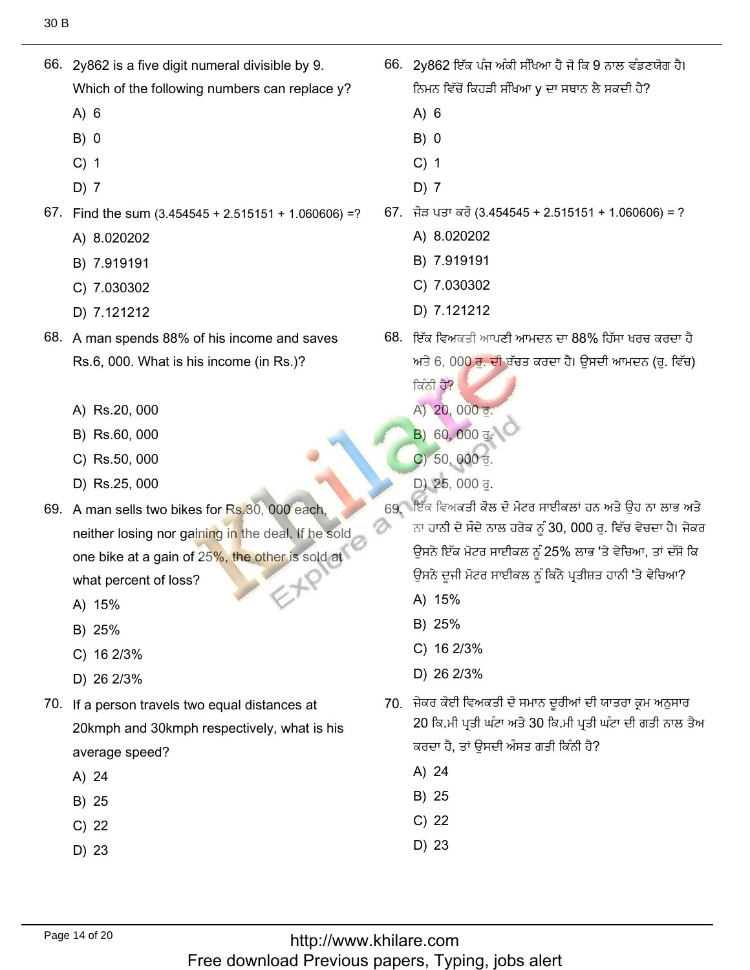- 66. 2y862 is a five digit numeral divisible by 9. Which of the following numbers can replace y?
	- $A) 6$
	- $B) 0$
	- $C)$  1
	- $D)$  7
- 67. Find the sum  $(3.454545 + 2.515151 + 1.060606) = ?$ 
	- A) 8.020202
	- B) 7.919191
	- C) 7.030302
	- D) 7.121212
- 68. A man spends 88% of his income and saves Rs.6, 000. What is his income (in Rs.)?
	- A) Rs.20, 000
	- B) Rs.60, 000
	- C) Rs.50, 000
	- D) Rs.25, 000
- 69. A man sells two bikes for Rs.30, 000 each, neither losing nor gaining in the deal. If he sold one bike at a gain of 25%, the other is sold at what percent of loss?
	- A) 15%
	- B) 25%
	- C) 16 2/3%
	- D) 26 2/3%
- 70. If a person travels two equal distances at 20kmph and 30kmph respectively, what is his average speed?
	- A) 24
	- B) 25
	- $C)$  22
	- D) 23
- 66. 2y862 ਇੱਕ ਪੰਜ ਅੰਕੀ ਸੰਖਿਆ ਹੈ ਜੋ ਕਿ 9 ਨਾਲ ਵੰਡਣਯੋਗ ਹੈ। ਨਿਮਨ ਵਿੱਚੋਂ ਕਿਹੜੀ ਸੰਖਿਆ y ਦਾ ਸਥਾਨ ਲੈ ਸਕਦੀ ਹੈ?
	- $A) 6$
	- $B) 0$
	- $C)$  1
	- $D)$  7
- 67. ਜੋੜ ਪਤਾ ਕਰੋ (3.454545 + 2.515151 + 1.060606) = ?
	- A) 8.020202
	- B) 7.919191
	- C) 7.030302
	- D) 7.121212
- 68. ਇੱਕ ਵਿਅਕਤੀ ਆਪਣੀ ਆਮਦਨ ਦਾ 88% ਹਿੱਸਾ ਖਰਚ ਕਰਦਾ ਹੈ ਅਤੇ 6, 00<mark>0 ਰੂ. ਦੀ</mark> ਬੱਚਤ ਕਰਦਾ ਹੈ। ਉਸਦੀ ਆਮਦਨ (ਰੂ. ਵਿੱਚ) ਕਿੰਨੀ ਹੈ?
	- A) 20, 000 ਰ.
	- B) 60, 000 ਰ<sup>2</sup>
	- C) 50, 000  $\overline{d}$ .
	- D) 25, 000 ਰੁ.
- 69. ਇੱਕ ਵਿਅਕਤੀ ਕੋਲ ਦੋ ਮੋਟਰ ਸਾਈਕਲਾਂ ਹਨ ਅਤੇ ਉਹ ਨਾ ਲਾਭ ਅਤੇ ਨਾ ਹਾਨੀ ਦੇ ਸੌਦੇ ਨਾਲ ਹਰੇਕ ਨੂੰ 30, 000 ਰੂ. ਵਿੱਚ ਵੇਚਦਾ ਹੈ। ਜੇਕਰ ਉਸਨੇ ਇੱਕ ਮੋਟਰ ਸਾਈਕਲ ਨੂੰ 25% ਲਾਭ 'ਤੇ ਵੇਚਿਆ, ਤਾਂ ਦੱਸੋ ਕਿ ਉਸਨੇ ਦੂਜੀ ਮੋਟਰ ਸਾਈਕਲ ਨੂੰ ਕਿੰਨੇ ਪ੍ਰਤੀਸ਼ਤ ਹਾਨੀ 'ਤੇ ਵੇਚਿਆ?
	- A) 15%
	- B) 25%
	- C)  $162/3%$
	- D) 26 2/3%
- 70. ਜੇਕਰ ਕੋਈ ਵਿਅਕਤੀ ਦੋ ਸਮਾਨ ਦੁਰੀਆਂ ਦੀ ਯਾਤਰਾ ਕ੍ਰਮ ਅਨੁਸਾਰ 20 ਕਿ.ਮੀ ਪ੍ਰਤੀ ਘੰਟਾ ਅਤੇ 30 ਕਿ.ਮੀ ਪ੍ਰਤੀ ਘੰਟਾ ਦੀ ਗਤੀ ਨਾਲ ਤੈਅ ਕਰਦਾ ਹੈ, ਤਾਂ ਉਸਦੀ ਔਸਤ ਗਤੀ ਕਿੰਨੀ ਹੈ?
	- A) 24
	- B) 25
	- $C)$  22
	- D) 23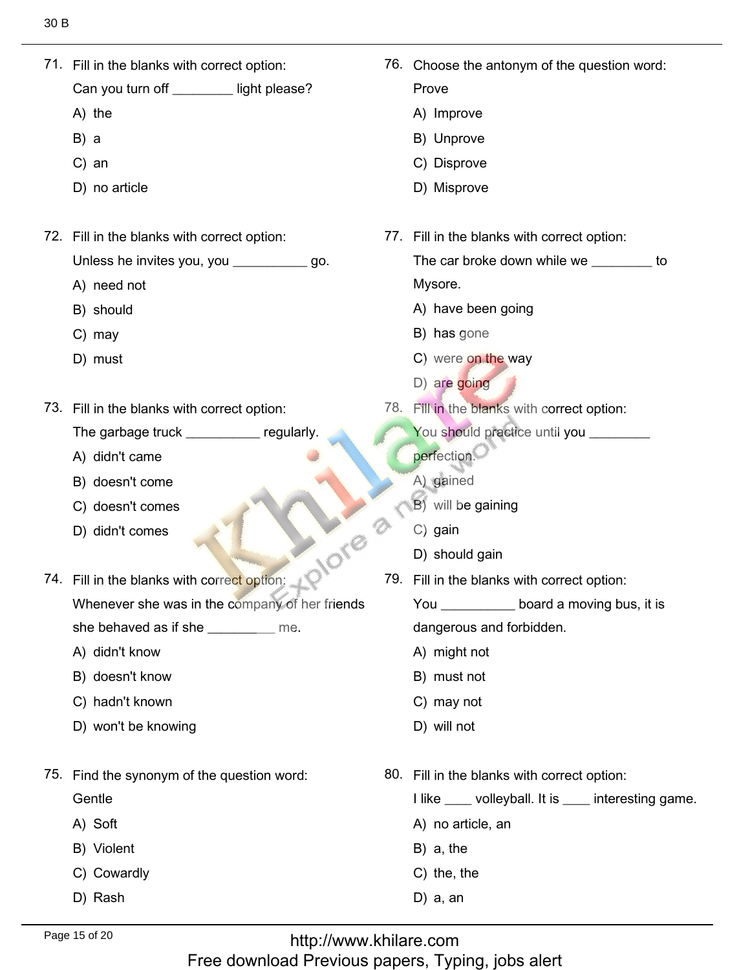71. Fill in the blanks with correct option: 76. Choose the antonym of the question word:  $71.$  Fill in the blanks with correct option: 76. Choose the antonym of the question word: Prove Can you tur<br>A) the Prove<br>A) Improve<br>B) Unprove A) the<br>B) a  $B) a$ B) a<br>C) an B) Unprove<br>C) Disprove C) Disprove<br>D) Misprove D) no article 72. Fill in the blanks with correct option: 77. Fill in the blanks with correct option: Unless he inv<br>A) need not The car broke down while we \_\_\_\_\_\_\_\_ to Mysore. Mysore.<br>A) have been going<br>B) has gone A) need not<br>B) should B) should<br>C) mav B) has gone<br>C) were <mark>on the</mark> way<br>D) are going  $C)$  may B) has gone D) must D) are going 73. Fill in the blanks with correct option: 78. Fill in the blanks with correct option: You should practice until you \_\_\_\_\_\_\_\_ The garbage truck \_<br>A) didn't came regularly. perfection.<br>A) gained A) didn't came<br>B) doesn't come A) gained A) gained<br>B) will be gaining<br>C) gain B) doesn't come B) doesn't come<br>C) doesn't comes doesn't comes<br>didn't comes C) gain<br>
79. Should gain  $C)$  gain 74. Fill in the blanks with correct option: Fill in the blanks with correct option: **Whenever the sheet** 79. Fill in the blanks with correct option: Whenever she was in the company of h You \_\_\_\_\_\_\_\_\_\_\_ board a moving bus, it is she behaved as if sl<br>A) didn't know dangerous and foi<br>A) might not A) didn't know<br>B) doesn't know A) might not<br>B) must not B) doesn't know<br>C) hadn't known B) must not<br>C) mav not C) hadn't known C) may not<br>D) will not won't be knowing 75. Find the synonym of the question word: 80. Fill in the blanks with correct option: Gentle<br>A) Soft I like \_\_\_\_ volleyball. I<br>A) no article, an Gentle A) Soft<br>B) Violent A) no article, a<br>B) a. the B) Violent<br>C) Cowardly<br>D) Rash  $B)$  a, the B) a, the<br>C) the, the<br>D) a. an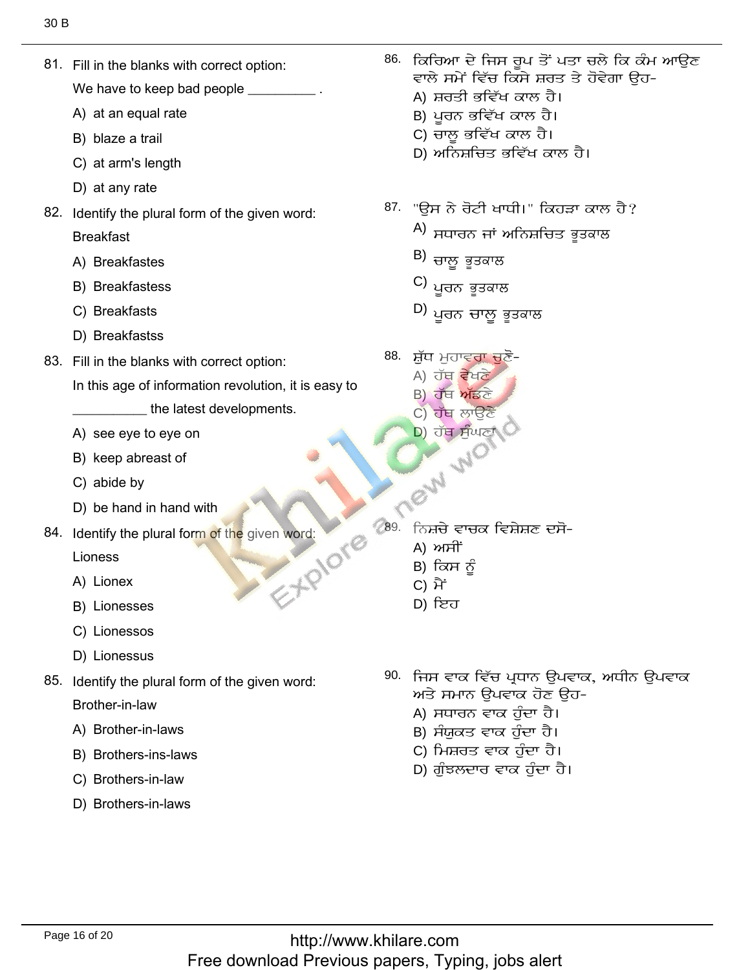81. Fill in the blanks with correct option:

We have to keep bad people

- A) at an equal rate
- B) blaze a trail
- C) at arm's length
- D) at any rate
- 82. Identify the plural form of the given word: **Breakfast** 
	- A) Breakfastes
	- B) Breakfastess
	- C) Breakfasts
	- D) Breakfastss
- 83. Fill in the blanks with correct option:
	- In this age of information revolution, it is easy to
		- the latest developments.
	- A) see eye to eye on
	- B) keep abreast of
	- C) abide by
	- D) be hand in hand with
- EXPIONE 84. Identify the plural form of the given word:

Lioness

- A) Lionex
- B) Lionesses
- C) Lionessos
- D) Lionessus
- 85. Identify the plural form of the given word: Brother-in-law
	- A) Brother-in-laws
	- B) Brothers-ins-laws
	- C) Brothers-in-law
	- D) Brothers-in-laws
- 86. ਕਿਰਿਆ ਦੇ ਜਿਸ ਰਪ ਤੋਂ ਪਤਾ ਚਲੇ ਕਿ ਕੰਮ ਆਉਣ ਵਾਲੇ ਸਮੇਂ ਵਿੱਚ ਕਿਸੇ ਸ਼ਰਤ ਤੇ ਹੋਵੇਗਾ ਉਹ-
	- A) ਸ਼ਰਤੀ ਭਵਿੱਖ ਕਾਲ ਹੈ।
	- B) ਪੂਰਨ ਭਵਿੱਖ ਕਾਲ ਹੈ।
	- C) ਚਾਲ਼ ਭਵਿੱਖ ਕਾਲ ਹੈ।
	- D) ਅਨਿਸ਼ਚਿਤ ਭਵਿੱਖ ਕਾਲ ਹੈ।
- 87. "ਉਸ ਨੇ ਰੋਟੀ ਖਾਧੀ।" ਕਿਹੜਾ ਕਾਲ ਹੈ?
	- $\phi$ ) ਸਧਾਰਨ ਜਾਂ ਅਨਿਸ਼ਚਿਤ ਭਤਕਾਲ
	- B) ਚਾਲੂ ਭੂਤਕਾਲ
	- C) ਪੁਰਨ ਭੂਤਕਾਲ
	- D) ਪੁਰਨ ਚਾਲੂ ਭੂਤਕਾਲ
- 88. ਸ਼ੁੱਧ ਮੁਹਾਵਰਾ ਚੁਣੋ-
	- A) ਹੱਥ ਵੇਖਣੇ
	- B) ਹੱਥ ਅੱਡਣੇ
	- C) ਹੱਥ ਲਾੳਣੇ D) ਹੱਥ ਸੰਘਣਾਂ
- **CASH AND CARE** ਨਿਸ਼ਚੇ ਵਾਚਕ ਵਿਸ਼ੇਸ਼ਣ ਦਸੋ-
	-
	- B) ਕਿਸ ਨੂੰ
	- C) ਮੈਂ
	- D) ਇਹ
	- 90. ਜਿਸ ਵਾਕ ਵਿੱਚ ਪ੍ਰਧਾਨ ੳਪਵਾਕ, ਅਧੀਨ ੳਪਵਾਕ ਅਤੇ ਸਮਾਨ ੳਪਵਾਕ ਹੋਣ ੳਹ-
		- A) ਸਧਾਰਨ ਵਾਕ ਹੰਦਾ ਹੈ।
		- B) ਸੰਯਕਤ ਵਾਕ ਹੰਦਾ ਹੈ।
		- C) ਮਿਸ਼ਰਤ ਵਾਕ ਹੁੰਦਾ ਹੈ।
		- D) ਗੰਝਲਦਾਰ ਵਾਕ ਹੰਦਾ ਹੈ।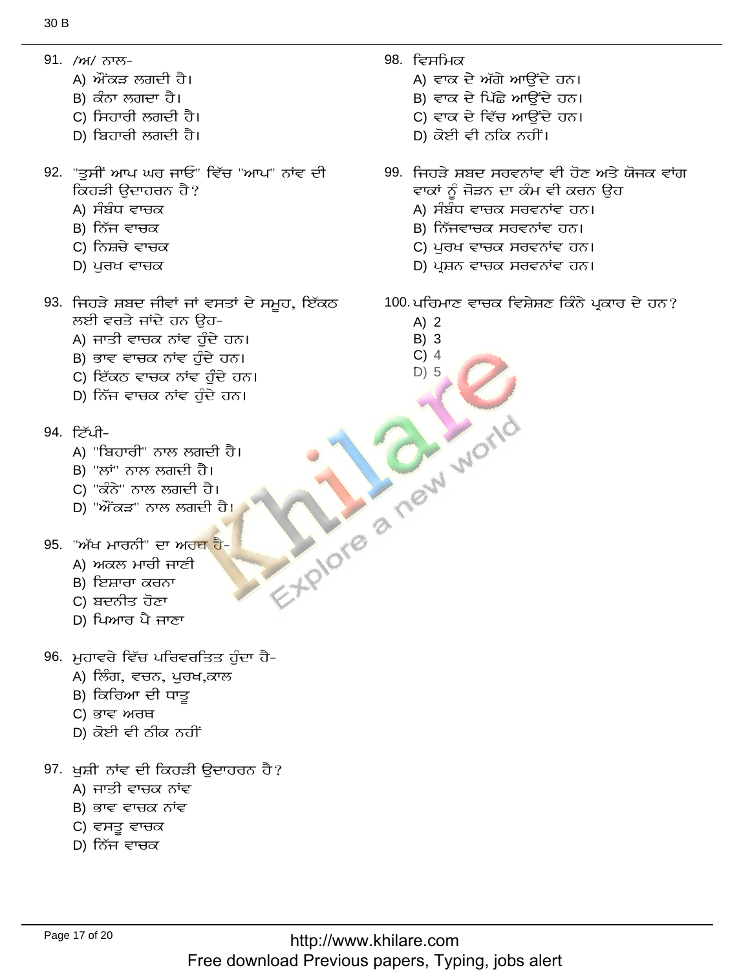- 91. /ਅ/ ਨਾਲ-
	- A) ਔਂਕੜ ਲਗਦੀ ਹੈ।
	- B) ਕੰਨਾ ਲਗਦਾ ਹੈ।
	- C) ਸਿਹਾਰੀ ਲਗਦੀ ਹੈ।
	- D) ਬਿਹਾਰੀ ਲਗਦੀ ਹੈ।
- 92. "ਤਸੀਂ ਆਪ ਘਰ ਜਾਓ" ਵਿੱਚ "ਆਪ" ਨਾਂਵ ਦੀ ਕਿਹੜੀ ੳਦਾਹਰਨ ਹੈ?
	- A) ਸੰਬੰਧ ਵਾਚਕ
	- B) ਨਿੱਜ ਵਾਚਕ
	- C) ਨਿਸ਼ਚੇ ਵਾਚਕ
	- $D$ ) ਪੁਰਖ ਵਾਚਕ
- 93. ਜਿਹੜੇ ਸ਼ਬਦ ਜੀਵਾਂ ਜਾਂ ਵਸਤਾਂ ਦੇ ਸਮੂਹ, ਇੱਕਠ ਲਈ ਵਰਤੇ ਜਾਂਦੇ ਹਨ ਉਹ-
	- A) ਜਾਤੀ ਵਾਚਕ ਨਾਂਵ ਹੁੰਦੇ ਹਨ।
	- B) ਭਾਵ ਵਾਚਕ ਨਾਂਵ ਹੁੰਦੇ ਹਨ।
	- C) ਇੱਕਠ ਵਾਚਕ ਨਾਂਵ ਹੁੰਦੇ ਹਨ।
	- D) ਨਿੱਜ ਵਾਚਕ ਨਾਂਵ ਹੁੰਦੇ ਹਨ।
- 94. ਟਿੱਪੀ-
	- A) "ਬਿਹਾਰੀ" ਨਾਲ ਲਗਦੀ ਹੈ।
	- B) "ਲਾਂ" ਨਾਲ ਲਗਦੀ ਹੈ।
	- C) "ਕੰਨੇ" ਨਾਲ ਲਗਦੀ ਹੈ।
	- D) "ਔਂਕੜ" ਨਾਲ ਲਗਦੀ ਹੈ।
- 95. "ਅੱਖ ਮਾਰਨੀ" ਦਾ ਅਰਥ ਹੈ-
	- A) ਅਕਲ ਮਾਰੀ ਜਾਣੀ
	- B) ਇਸ਼ਾਰਾ ਕਰਨਾ
	- C) ਬਦਨੀਤ ਹੋਣਾ
	- D) ਪਿਆਰ ਪੈ ਜਾਣਾ
- 96. ਮੁਹਾਵਰੇ ਵਿੱਚ ਪਰਿਵਰਤਿਤ ਹੁੰਦਾ ਹੈ-
	- A) ਲਿੰਗ, ਵਚਨ, ਪੁਰਖ,ਕਾਲ
	- B) ਕਿਰਿਆ ਦੀ ਧਾਤੂ
	- C) ਭਾਵ ਅਰਥ
	- D) ਕੋਈ ਵੀ ਠੀਕ ਨਹੀਂ
- 97. ਖੁਸ਼ੀ' ਨਾਂਵ ਦੀ ਕਿਹੜੀ ਉਦਾਹਰਨ ਹੈ?
	- A) ਜਾਤੀ ਵਾਚਕ ਨਾਂਵ
	- B) ਭਾਵ ਵਾਚਕ ਨਾਂਵ
	- C) ਵਸਤੁ ਵਾਚਕ
	- D) ਨਿੱਜ ਵਾਚਕ
- $98.$  ਵਿਸਮਿਕ
	- A) ਵਾਕ ਦੇ ਅੱਗੇ ਆਉਂਦੇ ਹਨ।
	- B) ਵਾਕ ਦੇ ਪਿੱਛੇ ਆਉਂਦੇ ਹਨ।
	- C) ਵਾਕ ਦੇ ਵਿੱਚ ਆਉਂਦੇ ਹਨ।
	- D) ਕੋਈ ਵੀ ਠਕਿ ਨਹੀਂ।
- 99. ਜਿਹੜੇ ਸ਼ਬਦ ਸਰਵਨਾਂਵ ਵੀ ਹੋਣ ਅਤੇ ਯੋਜਕ ਵਾਂਗ ਵਾਕਾਂ ਨੂੰ ਜੋੜਨ ਦਾ ਕੰਮ ਵੀ ਕਰਨ ਉਹ
	- A) ਸੰਬੰਧ ਵਾਚਕ ਸਰਵਨਾਂਵ ਹਨ।
	- B) ਨਿੱਜਵਾਚਕ ਸਰਵਨਾਂਵ ਹਨ।
	- C) ਪੁਰਖ ਵਾਚਕ ਸਰਵਨਾਂਵ ਹਨ।
	- D) ਪ੍ਰਸ਼ਨ ਵਾਚਕ ਸਰਵਨਾਂਵ ਹਨ।
- 100 ਪਰਿਮਾਣ ਵਾਚਕ ਵਿਸ਼ੇਸ਼ਣ ਕਿੰਨੇ ਪ੍ਰਕਾਰ ਦੇ ਹਨ?
	- $A)$  2
	- $B)$  3  $C)$  4

 $D)$  5

Explore a new world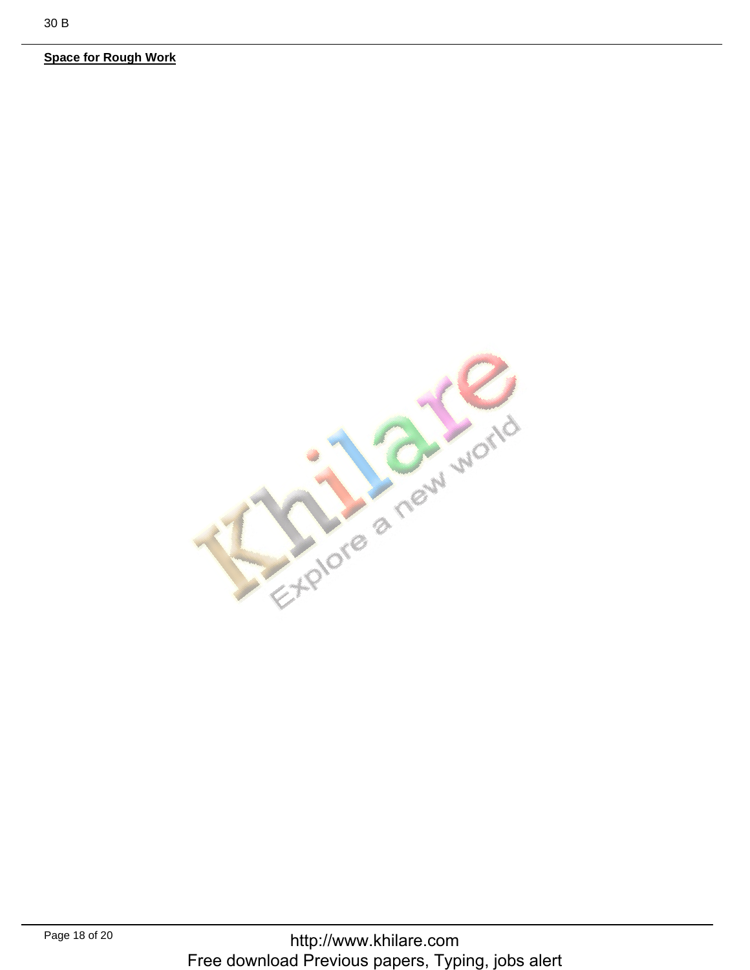**Space for Rough Work**

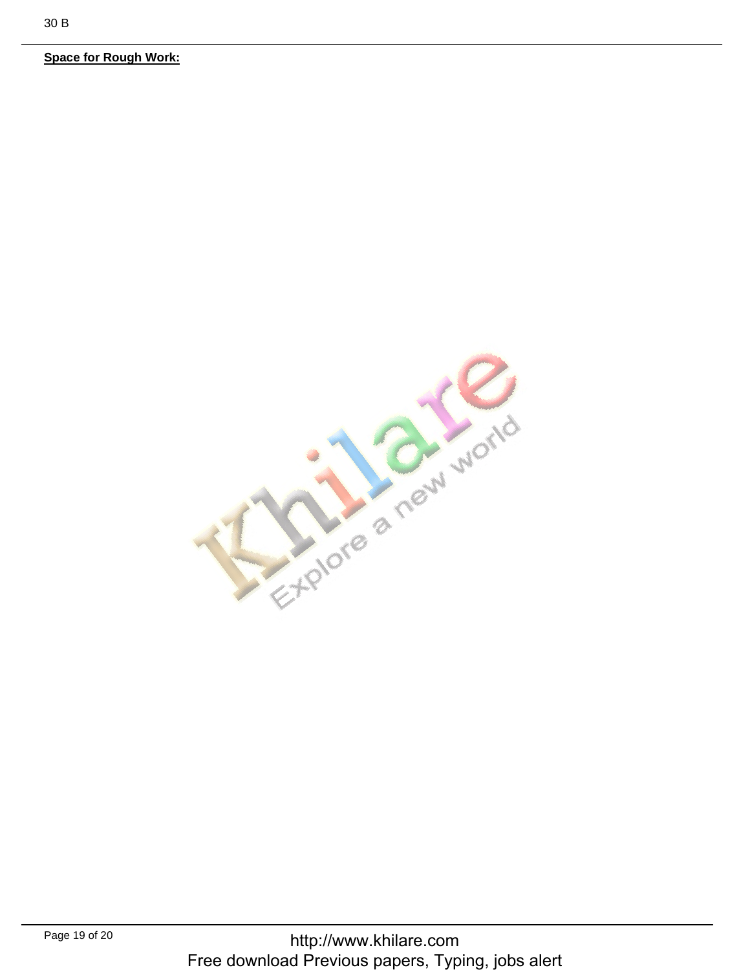**Space for Rough Work:**